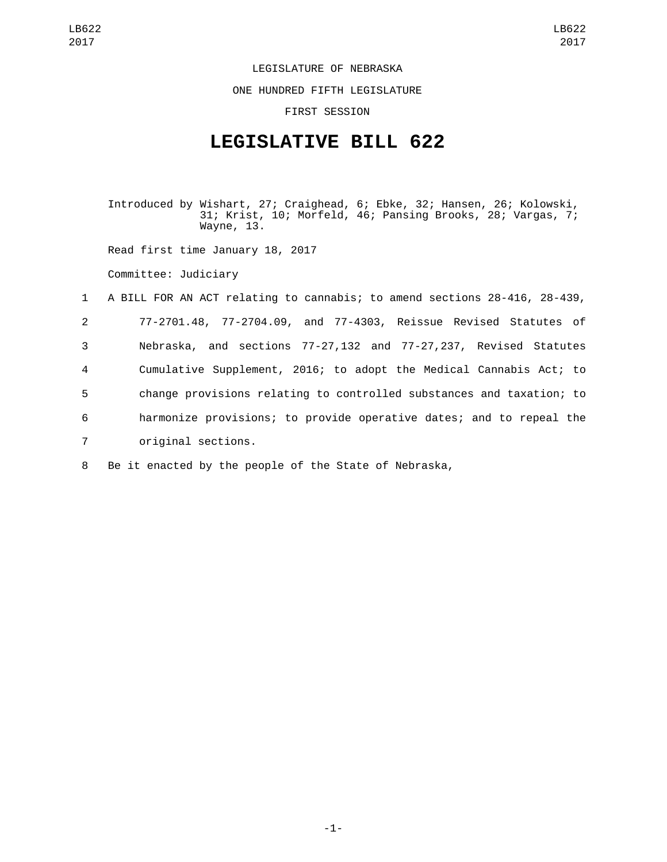## LEGISLATURE OF NEBRASKA

ONE HUNDRED FIFTH LEGISLATURE

FIRST SESSION

## **LEGISLATIVE BILL 622**

Introduced by Wishart, 27; Craighead, 6; Ebke, 32; Hansen, 26; Kolowski, 31; Krist, 10; Morfeld, 46; Pansing Brooks, 28; Vargas, 7; Wayne, 13.

Read first time January 18, 2017

Committee: Judiciary

 A BILL FOR AN ACT relating to cannabis; to amend sections 28-416, 28-439, 77-2701.48, 77-2704.09, and 77-4303, Reissue Revised Statutes of Nebraska, and sections 77-27,132 and 77-27,237, Revised Statutes Cumulative Supplement, 2016; to adopt the Medical Cannabis Act; to change provisions relating to controlled substances and taxation; to harmonize provisions; to provide operative dates; and to repeal the 7 original sections.

8 Be it enacted by the people of the State of Nebraska,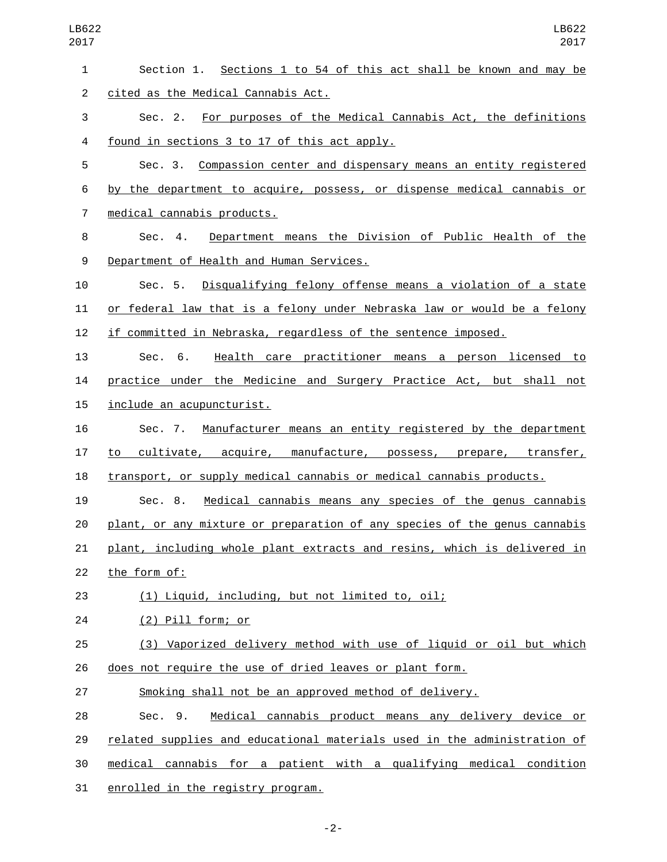| $\mathbf{1}$ | Section 1. Sections 1 to 54 of this act shall be known and may be         |
|--------------|---------------------------------------------------------------------------|
| 2            | cited as the Medical Cannabis Act.                                        |
| 3            | Sec. 2. For purposes of the Medical Cannabis Act, the definitions         |
| 4            | found in sections 3 to 17 of this act apply.                              |
| 5            | Sec. 3. Compassion center and dispensary means an entity registered       |
| 6            | by the department to acquire, possess, or dispense medical cannabis or    |
| 7            | medical cannabis products.                                                |
| 8            | Sec. 4. Department means the Division of Public Health of the             |
| 9            | Department of Health and Human Services.                                  |
| 10           | Sec. 5. Disqualifying felony offense means a violation of a state         |
| 11           | or federal law that is a felony under Nebraska law or would be a felony   |
| 12           | if committed in Nebraska, regardless of the sentence imposed.             |
| 13           | Health care practitioner means a person licensed to<br>Sec. 6.            |
| 14           | practice under the Medicine and Surgery Practice Act, but shall not       |
| 15           | include an acupuncturist.                                                 |
| 16           | Sec. 7. Manufacturer means an entity registered by the department         |
| 17           | cultivate, acquire, manufacture, possess, prepare, transfer,<br>to        |
| 18           | transport, or supply medical cannabis or medical cannabis products.       |
| 19           | Sec. 8. Medical cannabis means any species of the genus cannabis          |
| 20           | plant, or any mixture or preparation of any species of the genus cannabis |
| 21           | plant, including whole plant extracts and resins, which is delivered in   |
| 22           | the form of:                                                              |
| 23           | (1) Liquid, including, but not limited to, oil;                           |
| 24           | (2) Pill form; or                                                         |
| 25           | (3) Vaporized delivery method with use of liquid or oil but which         |
| 26           | does not require the use of dried leaves or plant form.                   |
| 27           | Smoking shall not be an approved method of delivery.                      |
| 28           | Medical cannabis product means any delivery device or<br>Sec. 9.          |
| 29           | related supplies and educational materials used in the administration of  |
| 30           | medical cannabis for a patient with a qualifying medical condition        |
| 31           | enrolled in the registry program.                                         |

-2-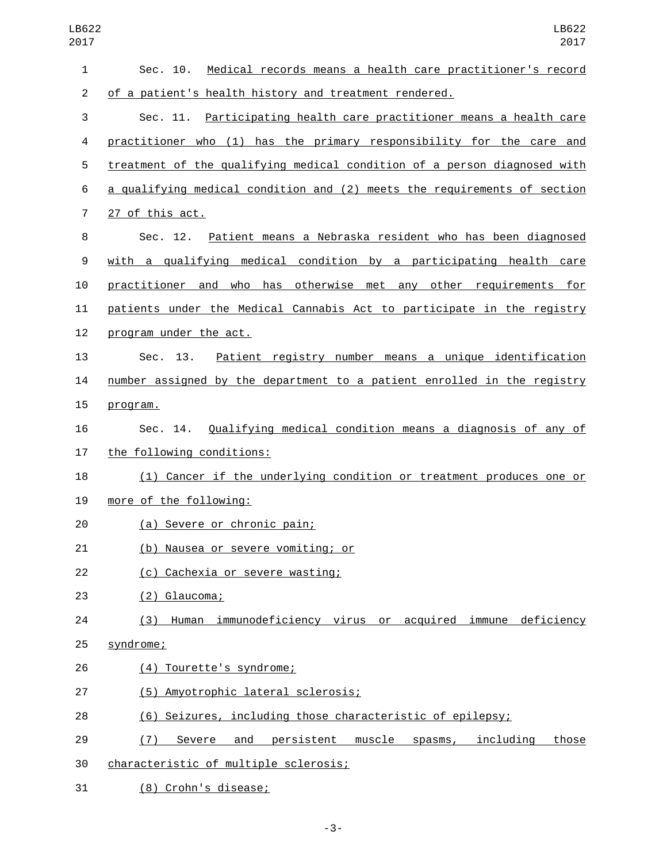| $\mathbf{1}$   | Medical records means a health care practitioner's record<br>Sec. 10.          |
|----------------|--------------------------------------------------------------------------------|
| $\overline{c}$ | of a patient's health history and treatment rendered.                          |
| 3              | Sec. 11. Participating health care practitioner means a health care            |
| 4              | practitioner who (1) has the primary responsibility for the care and           |
| 5              | treatment of the qualifying medical condition of a person diagnosed with       |
| 6              | a qualifying medical condition and (2) meets the requirements of section       |
| $\overline{7}$ | 27 of this act.                                                                |
| 8              | Sec. 12. Patient means a Nebraska resident who has been diagnosed              |
| 9              | with a qualifying medical condition by a participating health care             |
| 10             | practitioner and who has otherwise met any other requirements for              |
| 11             | patients under the Medical Cannabis Act to participate in the registry         |
| 12             | program under the act.                                                         |
| 13             | Patient registry number means a unique identification<br>Sec. 13.              |
| 14             | number assigned by the department to a patient enrolled in the registry        |
| 15             | program.                                                                       |
| 16             | Sec. 14. Qualifying medical condition means a diagnosis of any of              |
| 17             | the following conditions:                                                      |
| 18             | (1) Cancer if the underlying condition or treatment produces one or            |
| 19             | more of the following:                                                         |
| 20             | (a) Severe or chronic pain;                                                    |
| 21             | (b) Nausea or severe vomiting; or                                              |
| 22             | (c) Cachexia or severe wasting;                                                |
| 23             | (2) Glaucoma;                                                                  |
| 24             | (3) Human immunodeficiency virus or acquired immune deficiency                 |
| 25             | syndrome;                                                                      |
| 26             | (4) Tourette's syndrome;                                                       |
| 27             | (5) Amyotrophic lateral sclerosis;                                             |
| 28             | (6) Seizures, including those characteristic of epilepsy;                      |
| 29             | and<br><u>persistent</u><br>muscle spasms, including<br>Severe<br>those<br>(7) |
| 30             | characteristic of multiple sclerosis;                                          |

31 (8) Crohn's disease;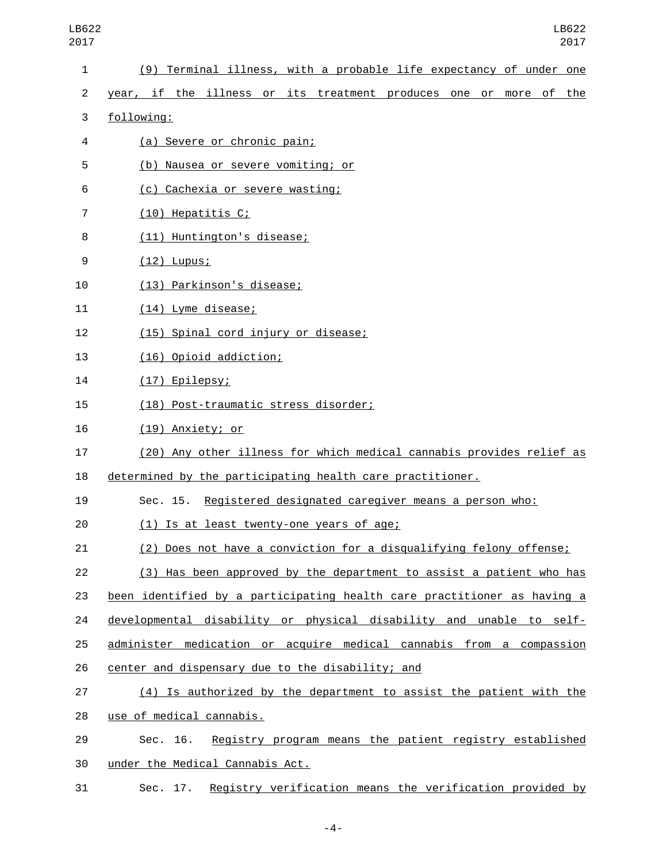| LB622<br>2017  | LB622<br>2017                                                           |
|----------------|-------------------------------------------------------------------------|
| 1              | (9) Terminal illness, with a probable life expectancy of under one      |
| $\overline{c}$ | year, if the illness or its treatment produces one or more of<br>the    |
| 3              | following:                                                              |
| 4              | (a) Severe or chronic pain;                                             |
| 5              | (b) Nausea or severe vomiting; or                                       |
| 6              | (c) Cachexia or severe wasting;                                         |
| 7              | (10) Hepatitis C;                                                       |
| 8              | (11) Huntington's disease;                                              |
| 9              | $(12)$ Lupus;                                                           |
| 10             | (13) Parkinson's disease;                                               |
| 11             | (14) Lyme disease;                                                      |
| 12             | (15) Spinal cord injury or disease;                                     |
| 13             | (16) Opioid addiction;                                                  |
| 14             | (17) Epilepsy;                                                          |
| 15             | (18) Post-traumatic stress disorder;                                    |
| 16             | (19) Anxiety; or                                                        |
| 17             | (20) Any other illness for which medical cannabis provides relief as    |
| 18             | determined by the participating health care practitioner.               |
| 19             | Registered designated caregiver means a person who:<br>Sec. 15.         |
| 20             | (1) Is at least twenty-one years of age;                                |
| 21             | (2) Does not have a conviction for a disqualifying felony offense;      |
| 22             | (3) Has been approved by the department to assist a patient who has     |
| 23             | been identified by a participating health care practitioner as having a |
| 24             | developmental disability or physical disability and unable to self-     |
| 25             | administer medication or acquire medical cannabis from a compassion     |
| 26             | center and dispensary due to the disability; and                        |
| 27             | (4) Is authorized by the department to assist the patient with the      |
| 28             | use of medical cannabis.                                                |
| 29             | Registry program means the patient registry established<br>Sec. 16.     |
| 30             | under the Medical Cannabis Act.                                         |
| 31             | Sec. 17. Registry verification means the verification provided by       |

-4-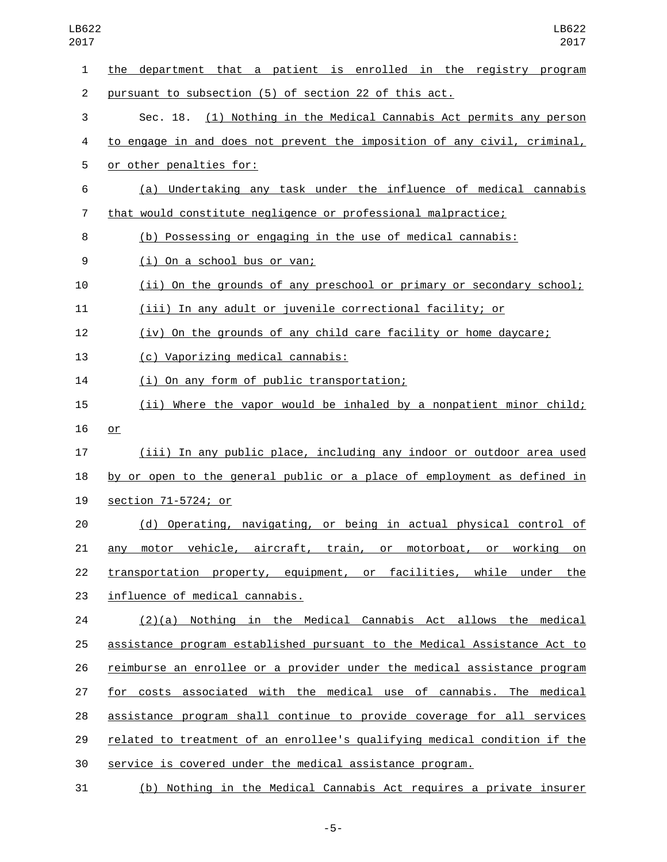| LB622<br>2017  | LB622<br>2017                                                             |
|----------------|---------------------------------------------------------------------------|
| 1              | the department that a patient is enrolled in the registry program         |
| $\overline{2}$ | pursuant to subsection (5) of section 22 of this act.                     |
| 3              | (1) Nothing in the Medical Cannabis Act permits any person<br>Sec. 18.    |
| 4              | to engage in and does not prevent the imposition of any civil, criminal,  |
| 5              | or other penalties for:                                                   |
| 6              | (a) Undertaking any task under the influence of medical cannabis          |
| 7              | that would constitute negligence or professional malpractice;             |
| 8              | (b) Possessing or engaging in the use of medical cannabis:                |
| 9              | (i) On a school bus or van;                                               |
| 10             | (ii) On the grounds of any preschool or primary or secondary school;      |
| 11             | (iii) In any adult or juvenile correctional facility; or                  |
| 12             | (iv) On the grounds of any child care facility or home daycare;           |
| 13             | (c) Vaporizing medical cannabis:                                          |
| 14             | (i) On any form of public transportation;                                 |
| 15             | (ii) Where the vapor would be inhaled by a nonpatient minor child;        |
| 16             | or                                                                        |
| 17             | (iii) In any public place, including any indoor or outdoor area used      |
| 18             | by or open to the general public or a place of employment as defined in   |
| 19             | section 71-5724; or                                                       |
| 20             | (d) Operating, navigating, or being in actual physical control of         |
| 21             | any motor vehicle, aircraft, train, or motorboat, or working on           |
| 22             | transportation property, equipment, or facilities, while under the        |
| 23             | influence of medical cannabis.                                            |
| 24             | $(2)(a)$ Nothing in the Medical Cannabis Act allows the medical           |
| 25             | assistance program established pursuant to the Medical Assistance Act to  |
| 26             | reimburse an enrollee or a provider under the medical assistance program  |
| 27             | for costs associated with the medical use of cannabis. The medical        |
| 28             | assistance program shall continue to provide coverage for all services    |
| 29             | related to treatment of an enrollee's qualifying medical condition if the |
| 30             | service is covered under the medical assistance program.                  |
| 31             | (b) Nothing in the Medical Cannabis Act requires a private insurer        |

-5-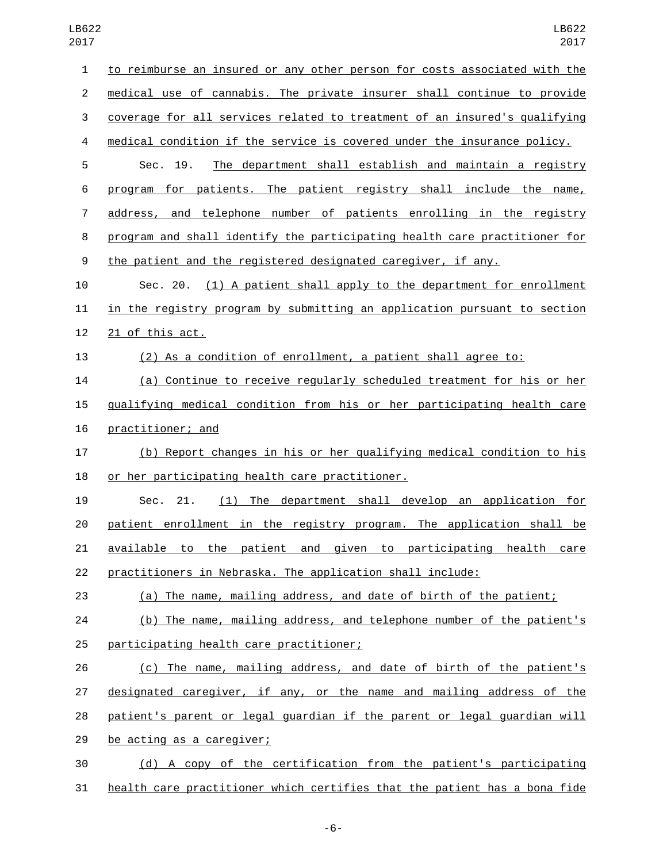| .v.            |                                                                           |
|----------------|---------------------------------------------------------------------------|
| $\mathbf{1}$   | to reimburse an insured or any other person for costs associated with the |
| $\overline{2}$ | medical use of cannabis. The private insurer shall continue to provide    |
| 3              | coverage for all services related to treatment of an insured's qualifying |
| 4              | medical condition if the service is covered under the insurance policy.   |
| 5              | The department shall establish and maintain a registry<br>Sec. 19.        |
| 6              | program for patients. The patient registry shall include the name,        |
| 7              | address, and telephone number of patients enrolling in the registry       |
| 8              | program and shall identify the participating health care practitioner for |
| 9              | the patient and the registered designated caregiver, if any.              |
| 10             | Sec. 20. (1) A patient shall apply to the department for enrollment       |
| 11             | in the registry program by submitting an application pursuant to section  |
| 12             | 21 of this act.                                                           |
| 13             | (2) As a condition of enrollment, a patient shall agree to:               |
| 14             | (a) Continue to receive regularly scheduled treatment for his or her      |
| 15             | gualifying medical condition from his or her participating health care    |
| 16             | practitioner; and                                                         |
| 17             | (b) Report changes in his or her qualifying medical condition to his      |
| 18             | or her participating health care practitioner.                            |
| 19             | The department shall develop an application for<br>Sec.<br>21.<br>(1)     |
| 20             | patient enrollment in the registry program. The application shall be      |
| 21             | available to the patient and given to participating health care           |
| 22             | practitioners in Nebraska. The application shall include:                 |
| 23             | (a) The name, mailing address, and date of birth of the patient;          |
| 24             | (b) The name, mailing address, and telephone number of the patient's      |
| 25             | participating health care practitioner;                                   |
| 26             | (c) The name, mailing address, and date of birth of the patient's         |
| 27             | designated caregiver, if any, or the name and mailing address of the      |
| 28             | patient's parent or legal guardian if the parent or legal guardian will   |
| 29             | be acting as a caregiver;                                                 |
| 30             | (d) A copy of the certification from the patient's participating          |
|                |                                                                           |

health care practitioner which certifies that the patient has a bona fide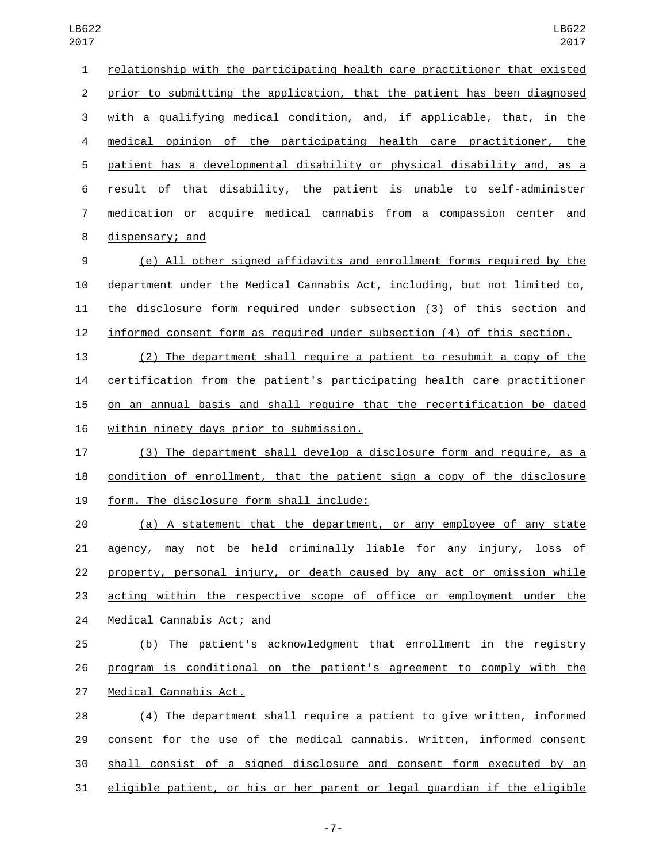| $\mathbf{1}$   | relationship with the participating health care practitioner that existed |
|----------------|---------------------------------------------------------------------------|
| $\overline{2}$ | prior to submitting the application, that the patient has been diagnosed  |
| 3              | with a qualifying medical condition, and, if applicable, that, in the     |
| 4              | medical opinion of the participating health care practitioner, the        |
| 5              | patient has a developmental disability or physical disability and, as a   |
| 6              | result of that disability, the patient is unable to self-administer       |
| $\overline{7}$ | medication or acquire medical cannabis from a compassion center and       |
| 8              | dispensary; and                                                           |
| 9              | (e) All other signed affidavits and enrollment forms required by the      |
| 10             | department under the Medical Cannabis Act, including, but not limited to, |
| 11             | the disclosure form required under subsection (3) of this section and     |
| 12             | informed consent form as required under subsection (4) of this section.   |
| 13             | (2) The department shall require a patient to resubmit a copy of the      |
| 14             | certification from the patient's participating health care practitioner   |
| 15             | on an annual basis and shall require that the recertification be dated    |
| 16             | <u>within ninety days prior to submission.</u>                            |
| 17             | (3) The department shall develop a disclosure form and require, as a      |
| 18             | condition of enrollment, that the patient sign a copy of the disclosure   |
| 19             | form. The disclosure form shall include:                                  |
| 20             | (a) A statement that the department, or any employee of any state         |
| 21             | agency, may not be held criminally liable for any injury, loss of         |
| 22             | property, personal injury, or death caused by any act or omission while   |
| 23             | acting within the respective scope of office or employment under the      |
| 24             | Medical Cannabis Act; and                                                 |
| 25             | (b) The patient's acknowledgment that enrollment in the registry          |
| 26             | program is conditional on the patient's agreement to comply with the      |
| 27             | Medical Cannabis Act.                                                     |
| 28             | (4) The department shall require a patient to give written, informed      |
| 29             | consent for the use of the medical cannabis. Written, informed consent    |
| 30             | shall consist of a signed disclosure and consent form executed by an      |
| 31             | eligible patient, or his or her parent or legal guardian if the eligible  |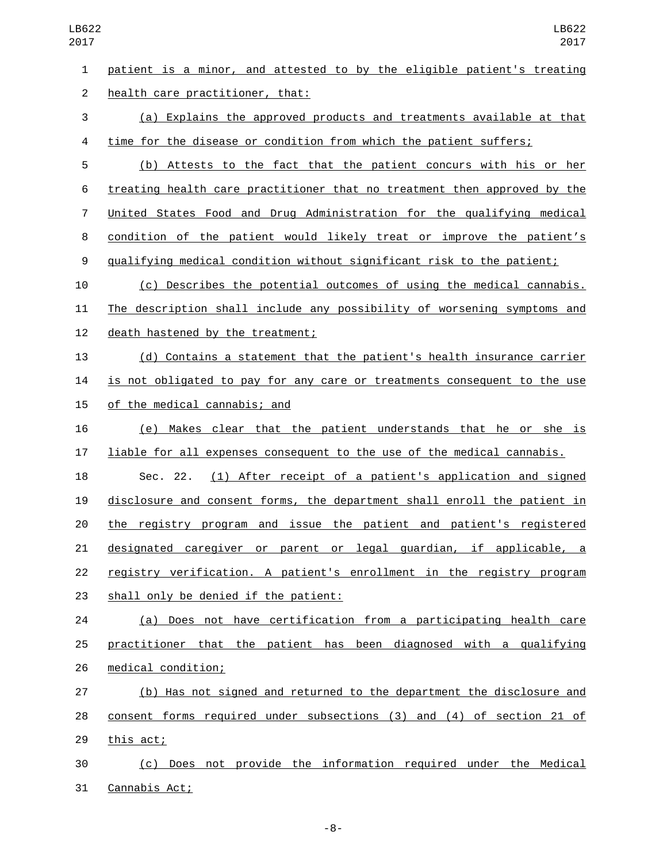patient is a minor, and attested to by the eligible patient's treating 2 health care practitioner, that: (a) Explains the approved products and treatments available at that 4 time for the disease or condition from which the patient suffers; (b) Attests to the fact that the patient concurs with his or her treating health care practitioner that no treatment then approved by the United States Food and Drug Administration for the qualifying medical condition of the patient would likely treat or improve the patient's qualifying medical condition without significant risk to the patient; (c) Describes the potential outcomes of using the medical cannabis. The description shall include any possibility of worsening symptoms and 12 death hastened by the treatment; (d) Contains a statement that the patient's health insurance carrier 14 is not obligated to pay for any care or treatments consequent to the use 15 of the medical cannabis; and (e) Makes clear that the patient understands that he or she is liable for all expenses consequent to the use of the medical cannabis. Sec. 22. (1) After receipt of a patient's application and signed disclosure and consent forms, the department shall enroll the patient in the registry program and issue the patient and patient's registered designated caregiver or parent or legal guardian, if applicable, a registry verification. A patient's enrollment in the registry program 23 shall only be denied if the patient: (a) Does not have certification from a participating health care practitioner that the patient has been diagnosed with a qualifying 26 medical condition; (b) Has not signed and returned to the department the disclosure and consent forms required under subsections (3) and (4) of section 21 of 29 this act; (c) Does not provide the information required under the Medical

31 Cannabis Act;

-8-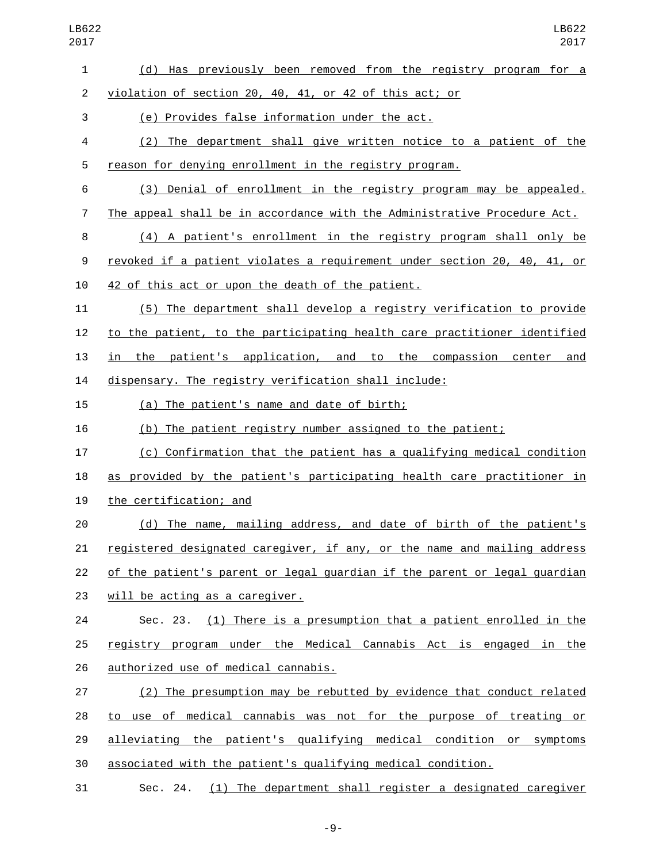- (d) Has previously been removed from the registry program for a violation of section 20, 40, 41, or 42 of this act; or (e) Provides false information under the act.3 (2) The department shall give written notice to a patient of the reason for denying enrollment in the registry program. (3) Denial of enrollment in the registry program may be appealed. The appeal shall be in accordance with the Administrative Procedure Act. (4) A patient's enrollment in the registry program shall only be revoked if a patient violates a requirement under section 20, 40, 41, or 10 42 of this act or upon the death of the patient. (5) The department shall develop a registry verification to provide to the patient, to the participating health care practitioner identified in the patient's application, and to the compassion center and dispensary. The registry verification shall include: 15 (a) The patient's name and date of birth; (b) The patient registry number assigned to the patient; (c) Confirmation that the patient has a qualifying medical condition as provided by the patient's participating health care practitioner in 19 the certification; and (d) The name, mailing address, and date of birth of the patient's registered designated caregiver, if any, or the name and mailing address of the patient's parent or legal guardian if the parent or legal guardian 23 will be acting as a caregiver. Sec. 23. (1) There is a presumption that a patient enrolled in the registry program under the Medical Cannabis Act is engaged in the 26 authorized use of medical cannabis. (2) The presumption may be rebutted by evidence that conduct related to use of medical cannabis was not for the purpose of treating or alleviating the patient's qualifying medical condition or symptoms
- associated with the patient's qualifying medical condition.
- Sec. 24. (1) The department shall register a designated caregiver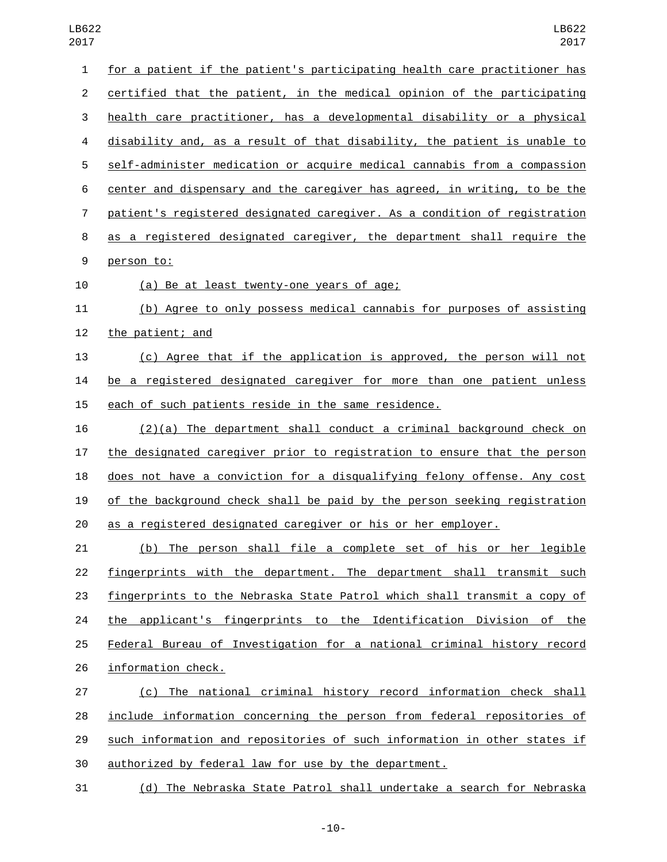| $\mathbf{1}$   | for a patient if the patient's participating health care practitioner has |
|----------------|---------------------------------------------------------------------------|
| $\overline{2}$ | certified that the patient, in the medical opinion of the participating   |
| 3              | health care practitioner, has a developmental disability or a physical    |
| 4              | disability and, as a result of that disability, the patient is unable to  |
| 5              | self-administer medication or acquire medical cannabis from a compassion  |
| 6              | center and dispensary and the caregiver has agreed, in writing, to be the |
| $\overline{7}$ | patient's registered designated caregiver. As a condition of registration |
| 8              | as a registered designated caregiver, the department shall require the    |
| 9              | person to:                                                                |
| 10             | <u>(a) Be at least twenty-one years of age;</u>                           |
| 11             | (b) Agree to only possess medical cannabis for purposes of assisting      |
| 12             | the patient; and                                                          |
| 13             | (c) Agree that if the application is approved, the person will not        |
| 14             | be a registered designated caregiver for more than one patient unless     |
| 15             | each of such patients reside in the same residence.                       |
| 16             | $(2)(a)$ The department shall conduct a criminal background check on      |
| 17             | the designated caregiver prior to registration to ensure that the person  |
| 18             | does not have a conviction for a disqualifying felony offense. Any cost   |
| 19             | of the background check shall be paid by the person seeking registration  |
| 20             | as a registered designated caregiver or his or her employer.              |
| 21             | (b) The person shall file a complete set of his or her legible            |
| 22             | fingerprints with the department. The department shall transmit such      |
| 23             | fingerprints to the Nebraska State Patrol which shall transmit a copy of  |
| 24             | the applicant's fingerprints to the Identification Division of the        |
| 25             | Federal Bureau of Investigation for a national criminal history record    |
| 26             | information check.                                                        |
| 27             | (c) The national criminal history record information check shall          |
| 28             | include information concerning the person from federal repositories of    |
| 29             | such information and repositories of such information in other states if  |

authorized by federal law for use by the department.

(d) The Nebraska State Patrol shall undertake a search for Nebraska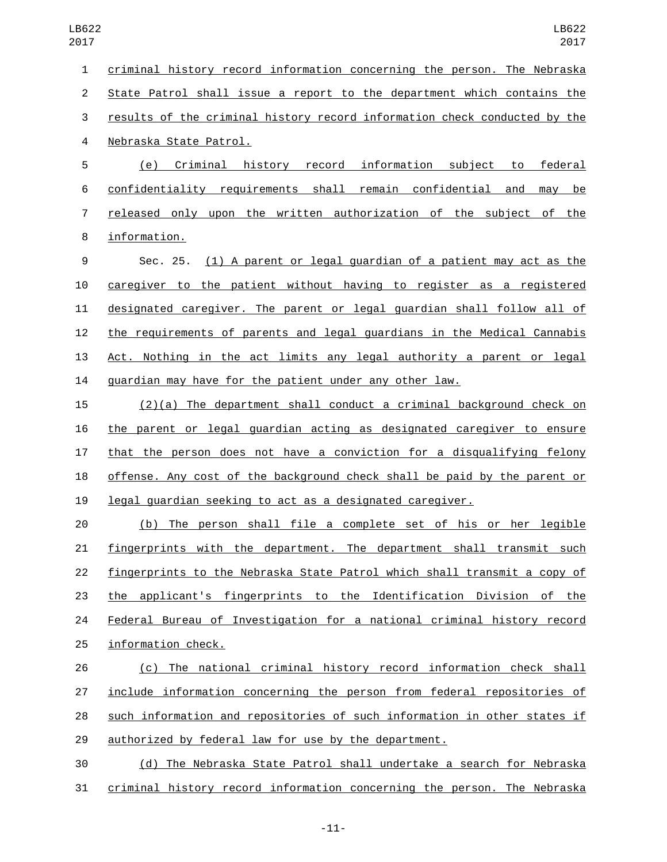criminal history record information concerning the person. The Nebraska State Patrol shall issue a report to the department which contains the results of the criminal history record information check conducted by the 4 Nebraska State Patrol. (e) Criminal history record information subject to federal confidentiality requirements shall remain confidential and may be released only upon the written authorization of the subject of the 8 information. Sec. 25. (1) A parent or legal guardian of a patient may act as the caregiver to the patient without having to register as a registered designated caregiver. The parent or legal guardian shall follow all of the requirements of parents and legal guardians in the Medical Cannabis

13 Act. Nothing in the act limits any legal authority a parent or legal guardian may have for the patient under any other law.

 (2)(a) The department shall conduct a criminal background check on the parent or legal guardian acting as designated caregiver to ensure 17 that the person does not have a conviction for a disqualifying felony offense. Any cost of the background check shall be paid by the parent or legal guardian seeking to act as a designated caregiver.

 (b) The person shall file a complete set of his or her legible fingerprints with the department. The department shall transmit such fingerprints to the Nebraska State Patrol which shall transmit a copy of the applicant's fingerprints to the Identification Division of the Federal Bureau of Investigation for a national criminal history record 25 information check.

 (c) The national criminal history record information check shall include information concerning the person from federal repositories of such information and repositories of such information in other states if authorized by federal law for use by the department.

 (d) The Nebraska State Patrol shall undertake a search for Nebraska criminal history record information concerning the person. The Nebraska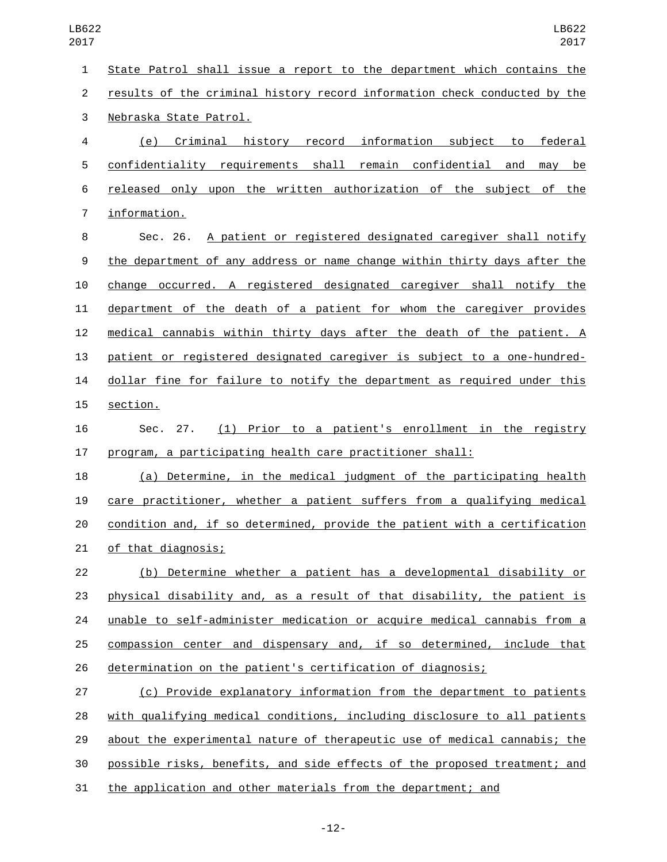State Patrol shall issue a report to the department which contains the results of the criminal history record information check conducted by the 3 Nebraska State Patrol. (e) Criminal history record information subject to federal confidentiality requirements shall remain confidential and may be released only upon the written authorization of the subject of the 7 information. Sec. 26. A patient or registered designated caregiver shall notify the department of any address or name change within thirty days after the change occurred. A registered designated caregiver shall notify the department of the death of a patient for whom the caregiver provides medical cannabis within thirty days after the death of the patient. A patient or registered designated caregiver is subject to a one-hundred-14 dollar fine for failure to notify the department as required under this 15 section. Sec. 27. (1) Prior to a patient's enrollment in the registry program, a participating health care practitioner shall: (a) Determine, in the medical judgment of the participating health care practitioner, whether a patient suffers from a qualifying medical condition and, if so determined, provide the patient with a certification 21 of that diagnosis; (b) Determine whether a patient has a developmental disability or physical disability and, as a result of that disability, the patient is 24 unable to self-administer medication or acquire medical cannabis from a compassion center and dispensary and, if so determined, include that determination on the patient's certification of diagnosis; (c) Provide explanatory information from the department to patients with qualifying medical conditions, including disclosure to all patients about the experimental nature of therapeutic use of medical cannabis; the possible risks, benefits, and side effects of the proposed treatment; and

the application and other materials from the department; and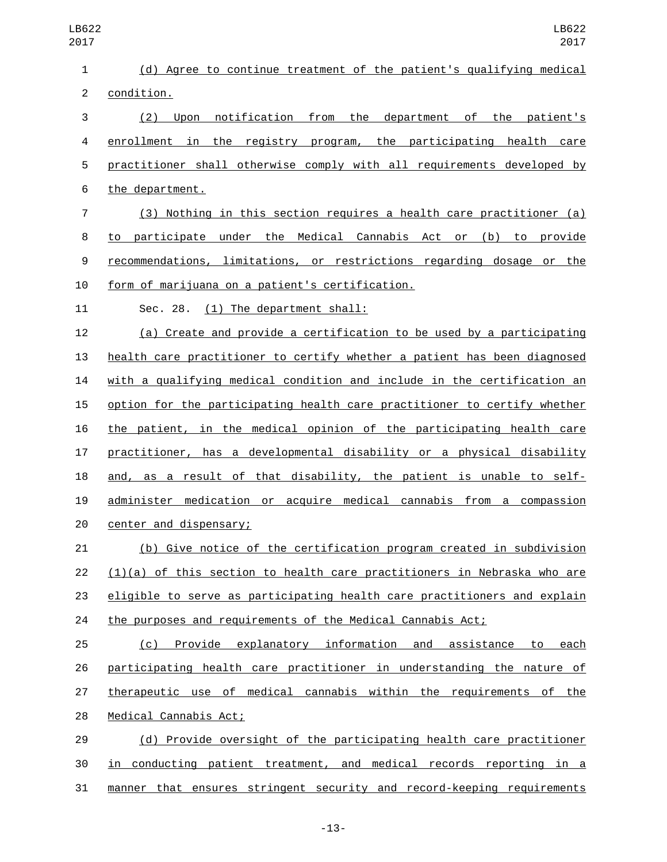| 1              | (d) Agree to continue treatment of the patient's qualifying medical       |
|----------------|---------------------------------------------------------------------------|
| $\overline{c}$ | condition.                                                                |
| 3              | notification from the department of the patient's<br>$(2)$ Upon           |
| 4              | enrollment in the registry program, the participating health care         |
| 5              | practitioner shall otherwise comply with all requirements developed by    |
| 6              | the department.                                                           |
| $\overline{7}$ | (3) Nothing in this section requires a health care practitioner (a)       |
| 8              | to participate under the Medical Cannabis Act or (b) to provide           |
| 9              | recommendations, limitations, or restrictions regarding dosage or the     |
| 10             | form of marijuana on a patient's certification.                           |
| 11             | Sec. 28. (1) The department shall:                                        |
| 12             | (a) Create and provide a certification to be used by a participating      |
| 13             | health care practitioner to certify whether a patient has been diagnosed  |
| 14             | with a qualifying medical condition and include in the certification an   |
| 15             | option for the participating health care practitioner to certify whether  |
| 16             | the patient, in the medical opinion of the participating health care      |
| 17             | practitioner, has a developmental disability or a physical disability     |
| 18             | and, as a result of that disability, the patient is unable to self-       |
| 19             | administer medication or acquire medical cannabis from a compassion       |
| 20             | center and dispensary;                                                    |
| 21             | (b) Give notice of the certification program created in subdivision       |
| 22             | $(1)(a)$ of this section to health care practitioners in Nebraska who are |
| 23             | eligible to serve as participating health care practitioners and explain  |
| 24             | the purposes and requirements of the Medical Cannabis Act;                |
| 25             | Provide explanatory information and assistance to each<br>(c)             |
| 26             | participating health care practitioner in understanding the nature of     |
| 27             | therapeutic use of medical cannabis within the requirements of the        |
| 28             | Medical Cannabis Act;                                                     |
| 29             | (d) Provide oversight of the participating health care practitioner       |
| 30             | in conducting patient treatment, and medical records reporting in a       |
| 31             | manner that ensures stringent security and record-keeping requirements    |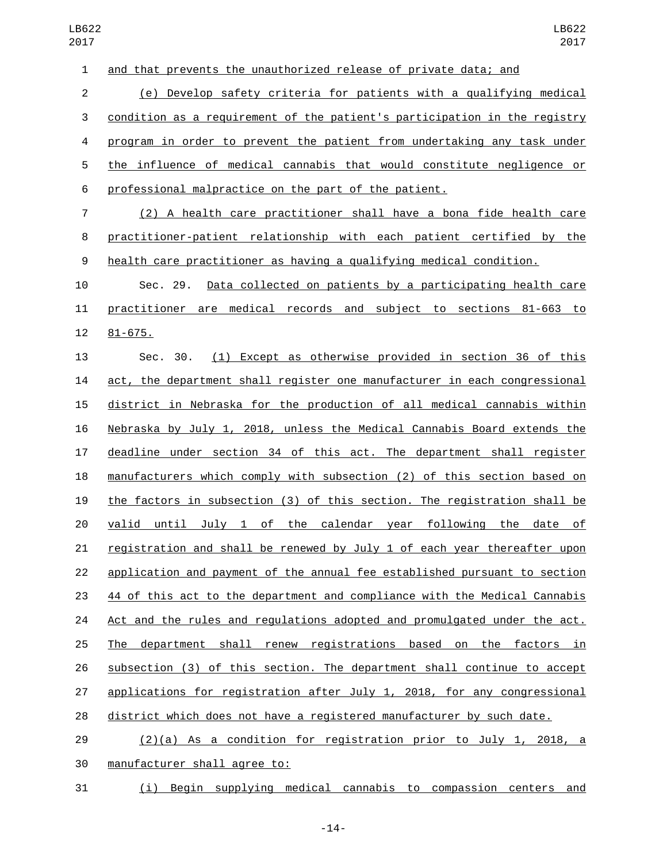and that prevents the unauthorized release of private data; and

 (e) Develop safety criteria for patients with a qualifying medical condition as a requirement of the patient's participation in the registry program in order to prevent the patient from undertaking any task under the influence of medical cannabis that would constitute negligence or professional malpractice on the part of the patient.

 (2) A health care practitioner shall have a bona fide health care practitioner-patient relationship with each patient certified by the health care practitioner as having a qualifying medical condition.

 Sec. 29. Data collected on patients by a participating health care practitioner are medical records and subject to sections 81-663 to 12 81-675.

 Sec. 30. (1) Except as otherwise provided in section 36 of this act, the department shall register one manufacturer in each congressional district in Nebraska for the production of all medical cannabis within Nebraska by July 1, 2018, unless the Medical Cannabis Board extends the deadline under section 34 of this act. The department shall register manufacturers which comply with subsection (2) of this section based on the factors in subsection (3) of this section. The registration shall be valid until July 1 of the calendar year following the date of registration and shall be renewed by July 1 of each year thereafter upon application and payment of the annual fee established pursuant to section 44 of this act to the department and compliance with the Medical Cannabis Act and the rules and regulations adopted and promulgated under the act. The department shall renew registrations based on the factors in subsection (3) of this section. The department shall continue to accept applications for registration after July 1, 2018, for any congressional district which does not have a registered manufacturer by such date.

 (2)(a) As a condition for registration prior to July 1, 2018, a 30 manufacturer shall agree to:

(i) Begin supplying medical cannabis to compassion centers and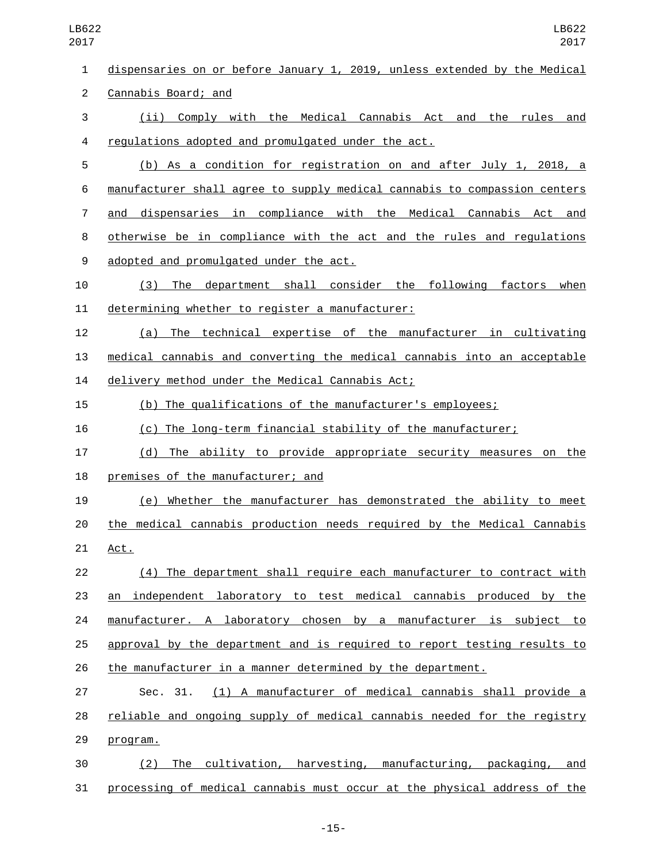dispensaries on or before January 1, 2019, unless extended by the Medical 2 Cannabis Board; and (ii) Comply with the Medical Cannabis Act and the rules and regulations adopted and promulgated under the act.4 (b) As a condition for registration on and after July 1, 2018, a manufacturer shall agree to supply medical cannabis to compassion centers and dispensaries in compliance with the Medical Cannabis Act and otherwise be in compliance with the act and the rules and regulations 9 adopted and promulgated under the act. (3) The department shall consider the following factors when 11 determining whether to register a manufacturer: (a) The technical expertise of the manufacturer in cultivating medical cannabis and converting the medical cannabis into an acceptable 14 delivery method under the Medical Cannabis Act; (b) The qualifications of the manufacturer's employees; (c) The long-term financial stability of the manufacturer; (d) The ability to provide appropriate security measures on the 18 premises of the manufacturer; and (e) Whether the manufacturer has demonstrated the ability to meet the medical cannabis production needs required by the Medical Cannabis 21 Act. (4) The department shall require each manufacturer to contract with an independent laboratory to test medical cannabis produced by the 24 manufacturer. A laboratory chosen by a manufacturer is subject to approval by the department and is required to report testing results to the manufacturer in a manner determined by the department. Sec. 31. (1) A manufacturer of medical cannabis shall provide a reliable and ongoing supply of medical cannabis needed for the registry 29 program. (2) The cultivation, harvesting, manufacturing, packaging, and LB622

processing of medical cannabis must occur at the physical address of the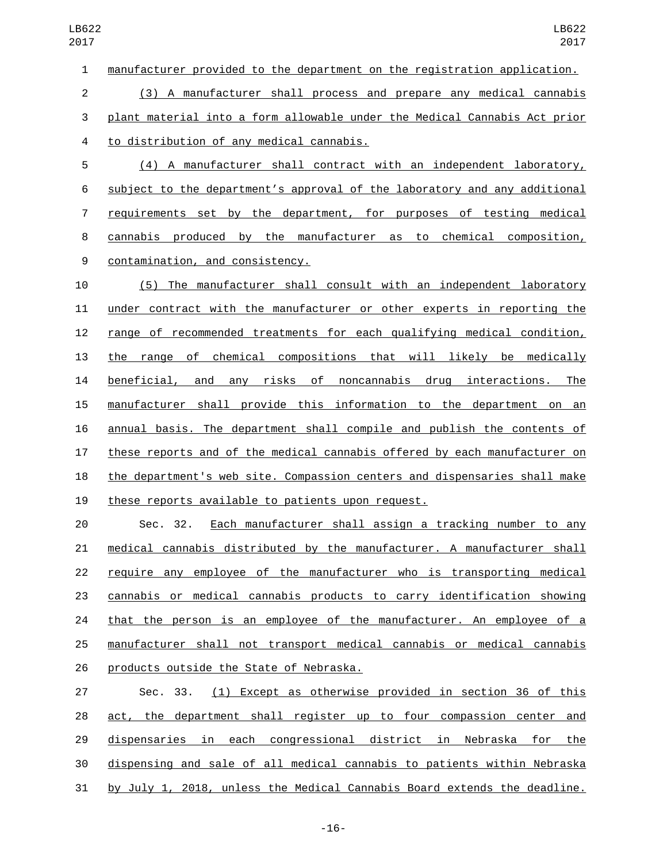manufacturer provided to the department on the registration application.

 (3) A manufacturer shall process and prepare any medical cannabis plant material into a form allowable under the Medical Cannabis Act prior to distribution of any medical cannabis.4

 (4) A manufacturer shall contract with an independent laboratory, subject to the department's approval of the laboratory and any additional requirements set by the department, for purposes of testing medical cannabis produced by the manufacturer as to chemical composition, 9 contamination, and consistency.

 (5) The manufacturer shall consult with an independent laboratory under contract with the manufacturer or other experts in reporting the range of recommended treatments for each qualifying medical condition, the range of chemical compositions that will likely be medically beneficial, and any risks of noncannabis drug interactions. The manufacturer shall provide this information to the department on an annual basis. The department shall compile and publish the contents of these reports and of the medical cannabis offered by each manufacturer on the department's web site. Compassion centers and dispensaries shall make 19 these reports available to patients upon request.

 Sec. 32. Each manufacturer shall assign a tracking number to any medical cannabis distributed by the manufacturer. A manufacturer shall require any employee of the manufacturer who is transporting medical cannabis or medical cannabis products to carry identification showing that the person is an employee of the manufacturer. An employee of a manufacturer shall not transport medical cannabis or medical cannabis 26 products outside the State of Nebraska.

 Sec. 33. (1) Except as otherwise provided in section 36 of this act, the department shall register up to four compassion center and dispensaries in each congressional district in Nebraska for the dispensing and sale of all medical cannabis to patients within Nebraska by July 1, 2018, unless the Medical Cannabis Board extends the deadline.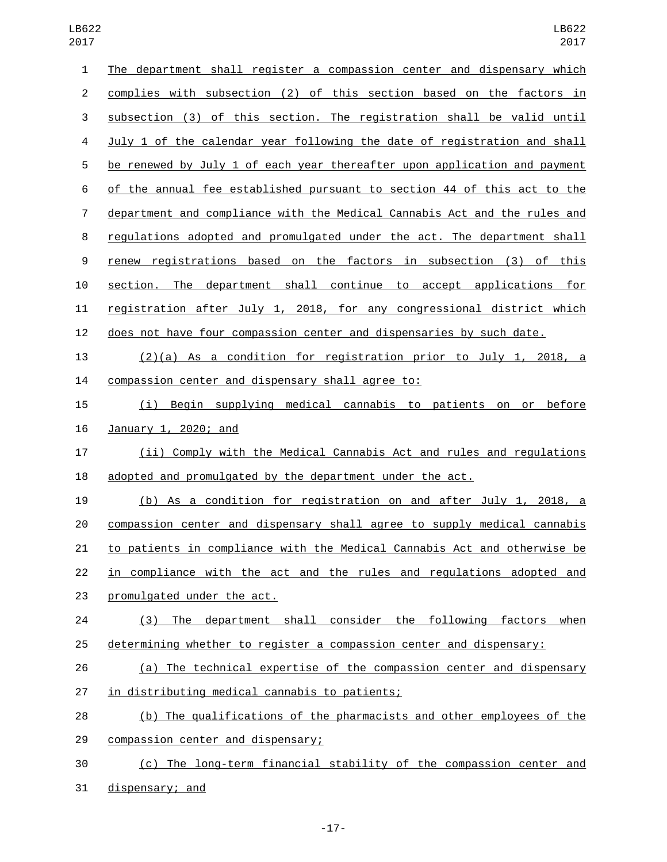| $\mathbf{1}$     | The department shall register a compassion center and dispensary which    |
|------------------|---------------------------------------------------------------------------|
| $\overline{c}$   | complies with subsection (2) of this section based on the factors in      |
| 3                | subsection (3) of this section. The registration shall be valid until     |
| 4                | July 1 of the calendar year following the date of registration and shall  |
| 5                | be renewed by July 1 of each year thereafter upon application and payment |
| 6                | of the annual fee established pursuant to section 44 of this act to the   |
| $\overline{7}$   | department and compliance with the Medical Cannabis Act and the rules and |
| 8                | regulations adopted and promulgated under the act. The department shall   |
| $\boldsymbol{9}$ | renew registrations based on the factors in subsection (3) of this        |
| 10               | section. The department shall continue to accept applications for         |
| 11               | registration after July 1, 2018, for any congressional district which     |
| 12               | does not have four compassion center and dispensaries by such date.       |
| 13               | $(2)(a)$ As a condition for registration prior to July 1, 2018, a         |
| 14               | compassion center and dispensary shall agree to:                          |
| 15               | Begin supplying medical cannabis to patients on<br>or before<br>(i)       |
|                  |                                                                           |
| 16               | January 1, 2020; and                                                      |
| 17               | (ii) Comply with the Medical Cannabis Act and rules and regulations       |
| 18               | adopted and promulgated by the department under the act.                  |
| 19               | (b) As a condition for registration on and after July 1, 2018, a          |
| 20               | compassion center and dispensary shall agree to supply medical cannabis   |
| 21               | to patients in compliance with the Medical Cannabis Act and otherwise be  |
| 22               | in compliance with the act and the rules and regulations adopted and      |
| 23               | promulgated under the act.                                                |
| 24               | department shall consider the following factors when<br>(3)<br>The        |
| 25               | determining whether to register a compassion center and dispensary:       |
| 26               | (a) The technical expertise of the compassion center and dispensary       |
| 27               | in distributing medical cannabis to patients;                             |
| 28               | (b) The qualifications of the pharmacists and other employees of the      |
| 29               | compassion center and dispensary;                                         |

31 dispensary; and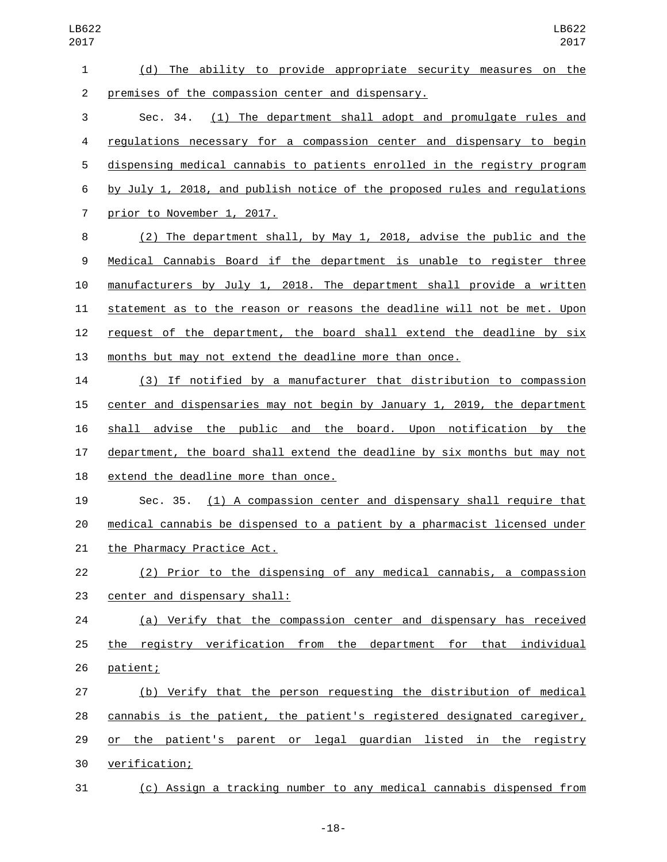(d) The ability to provide appropriate security measures on the 2 premises of the compassion center and dispensary. Sec. 34. (1) The department shall adopt and promulgate rules and regulations necessary for a compassion center and dispensary to begin dispensing medical cannabis to patients enrolled in the registry program by July 1, 2018, and publish notice of the proposed rules and regulations 7 prior to November 1, 2017. (2) The department shall, by May 1, 2018, advise the public and the Medical Cannabis Board if the department is unable to register three manufacturers by July 1, 2018. The department shall provide a written statement as to the reason or reasons the deadline will not be met. Upon request of the department, the board shall extend the deadline by six months but may not extend the deadline more than once. (3) If notified by a manufacturer that distribution to compassion center and dispensaries may not begin by January 1, 2019, the department shall advise the public and the board. Upon notification by the department, the board shall extend the deadline by six months but may not 18 extend the deadline more than once. Sec. 35. (1) A compassion center and dispensary shall require that medical cannabis be dispensed to a patient by a pharmacist licensed under 21 the Pharmacy Practice Act. (2) Prior to the dispensing of any medical cannabis, a compassion 23 center and dispensary shall: (a) Verify that the compassion center and dispensary has received the registry verification from the department for that individual 26 patient; (b) Verify that the person requesting the distribution of medical cannabis is the patient, the patient's registered designated caregiver, or the patient's parent or legal guardian listed in the registry verification;30

(c) Assign a tracking number to any medical cannabis dispensed from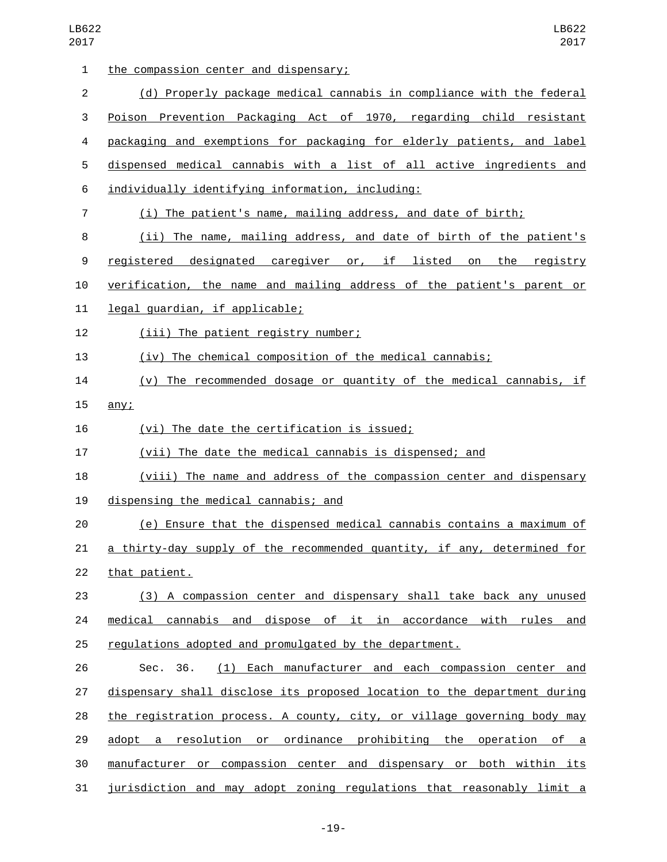| $\mathbf{1}$   | the compassion center and dispensary;                                    |
|----------------|--------------------------------------------------------------------------|
| $\overline{2}$ | (d) Properly package medical cannabis in compliance with the federal     |
| 3              | Poison Prevention Packaging Act of 1970, regarding child resistant       |
| 4              | packaging and exemptions for packaging for elderly patients, and label   |
| 5              | dispensed medical cannabis with a list of all active ingredients and     |
| 6              | individually identifying information, including:                         |
| $\overline{7}$ | (i) The patient's name, mailing address, and date of birth;              |
| 8              | (ii) The name, mailing address, and date of birth of the patient's       |
| 9              | <u>registered designated caregiver or, if listed on the registry</u>     |
| 10             | verification, the name and mailing address of the patient's parent or    |
| 11             | legal guardian, if applicable;                                           |
| 12             | (iii) The patient registry number;                                       |
| 13             | (iv) The chemical composition of the medical cannabis;                   |
| 14             | (v) The recommended dosage or quantity of the medical cannabis, if       |
| 15             | any:                                                                     |
| 16             | (vi) The date the certification is issued;                               |
| 17             | (vii) The date the medical cannabis is dispensed; and                    |
| 18             | (viii) The name and address of the compassion center and dispensary      |
| 19             | dispensing the medical cannabis; and                                     |
| 20             | (e) Ensure that the dispensed medical cannabis contains a maximum of     |
| 21             | a thirty-day supply of the recommended quantity, if any, determined for  |
| 22             | that patient.                                                            |
| 23             | (3) A compassion center and dispensary shall take back any unused        |
| 24             | medical cannabis and dispose of it in accordance with rules and          |
| 25             | regulations adopted and promulgated by the department.                   |
| 26             | (1) Each manufacturer and each compassion center and<br>Sec. 36.         |
| 27             | dispensary shall disclose its proposed location to the department during |
| 28             | the registration process. A county, city, or village governing body may  |
| 29             | adopt a resolution or ordinance prohibiting the operation of a           |
| 30             | manufacturer or compassion center and dispensary or both within its      |
| 31             | jurisdiction and may adopt zoning regulations that reasonably limit a    |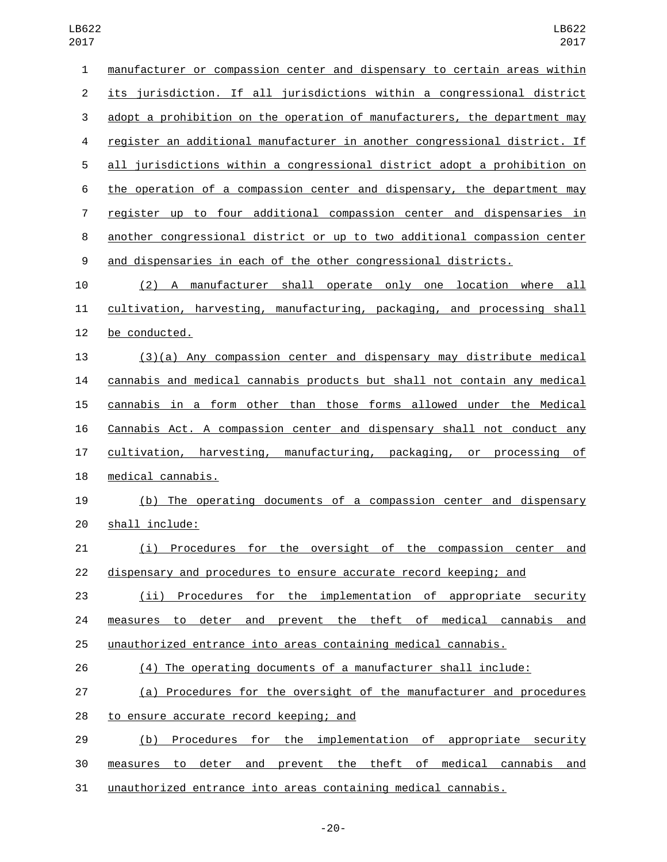| 1              | manufacturer or compassion center and dispensary to certain areas within  |
|----------------|---------------------------------------------------------------------------|
| $\overline{c}$ | its jurisdiction. If all jurisdictions within a congressional district    |
| 3              | adopt a prohibition on the operation of manufacturers, the department may |
| 4              | register an additional manufacturer in another congressional district. If |
| 5              | all jurisdictions within a congressional district adopt a prohibition on  |
| 6              | the operation of a compassion center and dispensary, the department may   |
| 7              | register up to four additional compassion center and dispensaries in      |
| 8              | another congressional district or up to two additional compassion center  |
| 9              | and dispensaries in each of the other congressional districts.            |
| 10             | (2) A manufacturer shall operate only one location where all              |
| 11             | cultivation, harvesting, manufacturing, packaging, and processing shall   |
| 12             | be conducted.                                                             |
| 13             | $(3)(a)$ Any compassion center and dispensary may distribute medical      |
| 14             | cannabis and medical cannabis products but shall not contain any medical  |
| 15             | cannabis in a form other than those forms allowed under the Medical       |
| 16             | Cannabis Act. A compassion center and dispensary shall not conduct any    |
| 17             | cultivation, harvesting, manufacturing, packaging, or processing of       |
| 18             | medical cannabis.                                                         |
| 19             | (b) The operating documents of a compassion center and dispensary         |
| 20             | shall include:                                                            |
| 21             | (i) Procedures for the oversight of the compassion center<br>and          |
| 22             | dispensary and procedures to ensure accurate record keeping; and          |
| 23             | (ii) Procedures for the implementation of appropriate security            |
| 24             | measures to deter and prevent the theft of medical cannabis and           |
| 25             | unauthorized entrance into areas containing medical cannabis.             |
| 26             | (4) The operating documents of a manufacturer shall include:              |
| 27             | (a) Procedures for the oversight of the manufacturer and procedures       |
| 28             | to ensure accurate record keeping; and                                    |
| 29             | Procedures for the implementation of appropriate security<br>(b)          |
| 30             | measures to deter and prevent the theft of medical cannabis and           |
| 31             | unauthorized entrance into areas containing medical cannabis.             |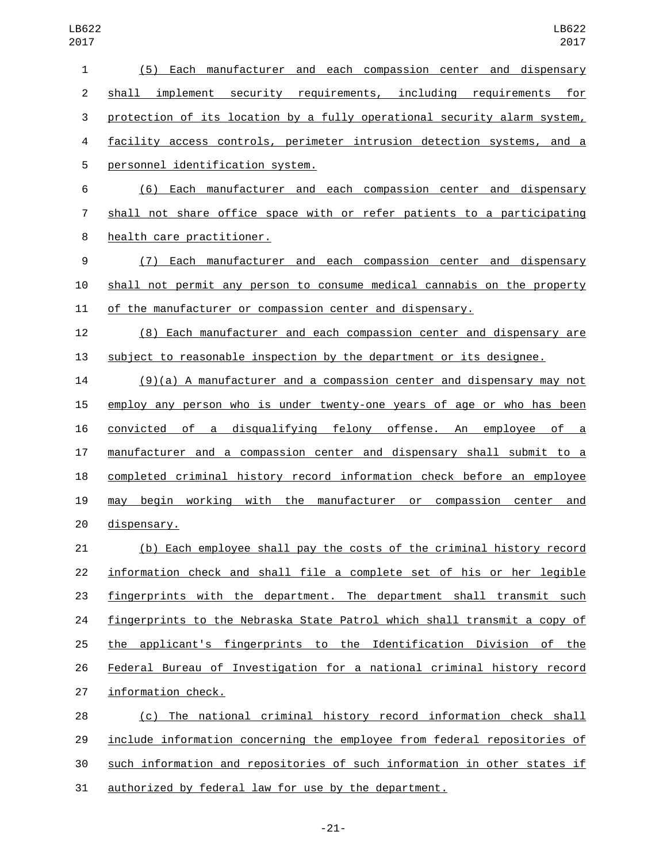| 1                | (5) Each manufacturer and each compassion center and dispensary          |
|------------------|--------------------------------------------------------------------------|
| $\overline{2}$   | shall implement security requirements, including requirements for        |
| 3                | protection of its location by a fully operational security alarm system, |
| 4                | facility access controls, perimeter intrusion detection systems, and a   |
| 5                | personnel identification system.                                         |
| 6                | (6) Each manufacturer and each compassion center and dispensary          |
| 7                | shall not share office space with or refer patients to a participating   |
| 8                | health care practitioner.                                                |
| $\boldsymbol{9}$ | Each manufacturer and each compassion center and dispensary<br>(7)       |
| 10               | shall not permit any person to consume medical cannabis on the property  |
| 11               | of the manufacturer or compassion center and dispensary.                 |
| 12               | (8) Each manufacturer and each compassion center and dispensary are      |
| 13               | subject to reasonable inspection by the department or its designee.      |
| 14               | $(9)(a)$ A manufacturer and a compassion center and dispensary may not   |
| 15               | employ any person who is under twenty-one years of age or who has been   |
| 16               | of a disqualifying felony offense. An employee of a<br>convicted         |
| 17               | manufacturer and a compassion center and dispensary shall submit to a    |
| 18               | completed criminal history record information check before an employee   |
| 19               | begin working with the manufacturer or compassion center and<br>may      |
| 20               | dispensary.                                                              |
| 21               | (b) Each employee shall pay the costs of the criminal history record     |
| 22               | information check and shall file a complete set of his or her legible    |
| 23               | fingerprints with the department. The department shall transmit such     |
| 24               | fingerprints to the Nebraska State Patrol which shall transmit a copy of |
| 25               | the applicant's fingerprints to the Identification Division of the       |
| 26               | Federal Bureau of Investigation for a national criminal history record   |
| 27               | information check.                                                       |
| 28               | (c) The national criminal history record information check shall         |
| 29               | include information concerning the employee from federal repositories of |
| 30               | such information and repositories of such information in other states if |

authorized by federal law for use by the department.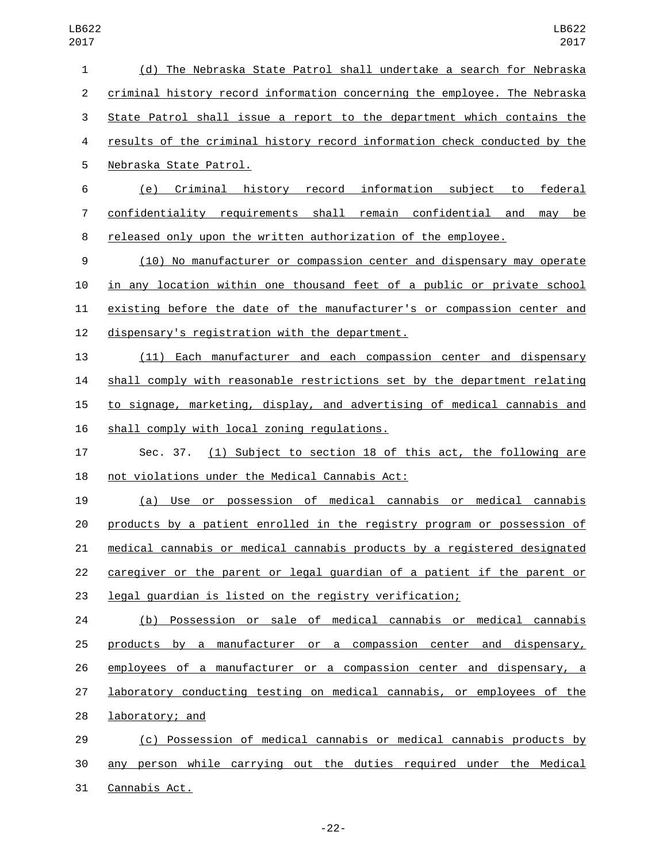| 1  | (d) The Nebraska State Patrol shall undertake a search for Nebraska       |
|----|---------------------------------------------------------------------------|
| 2  | criminal history record information concerning the employee. The Nebraska |
| 3  | State Patrol shall issue a report to the department which contains the    |
| 4  | results of the criminal history record information check conducted by the |
| 5  | Nebraska State Patrol.                                                    |
| 6  | federal<br>(e) Criminal history record information subject to             |
| 7  | confidentiality requirements shall remain confidential and<br>may be      |
| 8  | released only upon the written authorization of the employee.             |
| 9  | (10) No manufacturer or compassion center and dispensary may operate      |
| 10 | in any location within one thousand feet of a public or private school    |
| 11 | existing before the date of the manufacturer's or compassion center and   |
| 12 | dispensary's registration with the department.                            |
| 13 | (11) Each manufacturer and each compassion center and dispensary          |
| 14 | shall comply with reasonable restrictions set by the department relating  |
| 15 | to signage, marketing, display, and advertising of medical cannabis and   |
| 16 | shall comply with local zoning regulations.                               |
| 17 | (1) Subject to section 18 of this act, the following are<br>Sec. 37.      |
| 18 | not violations under the Medical Cannabis Act:                            |
| 19 | (a) Use or possession of medical cannabis or medical cannabis             |
| 20 | products by a patient enrolled in the registry program or possession of   |
| 21 | medical cannabis or medical cannabis products by a registered designated  |
| 22 | caregiver or the parent or legal guardian of a patient if the parent or   |
| 23 | legal guardian is listed on the registry verification;                    |
| 24 | (b) Possession or sale of medical cannabis or medical cannabis            |
| 25 | products by a manufacturer or a compassion center and dispensary,         |
| 26 | employees of a manufacturer or a compassion center and dispensary, a      |
| 27 | laboratory conducting testing on medical cannabis, or employees of the    |
| 28 | laboratory; and                                                           |
| 29 | (c) Possession of medical cannabis or medical cannabis products by        |
| 30 | any person while carrying out the duties required under the Medical       |
|    |                                                                           |

31 Cannabis Act.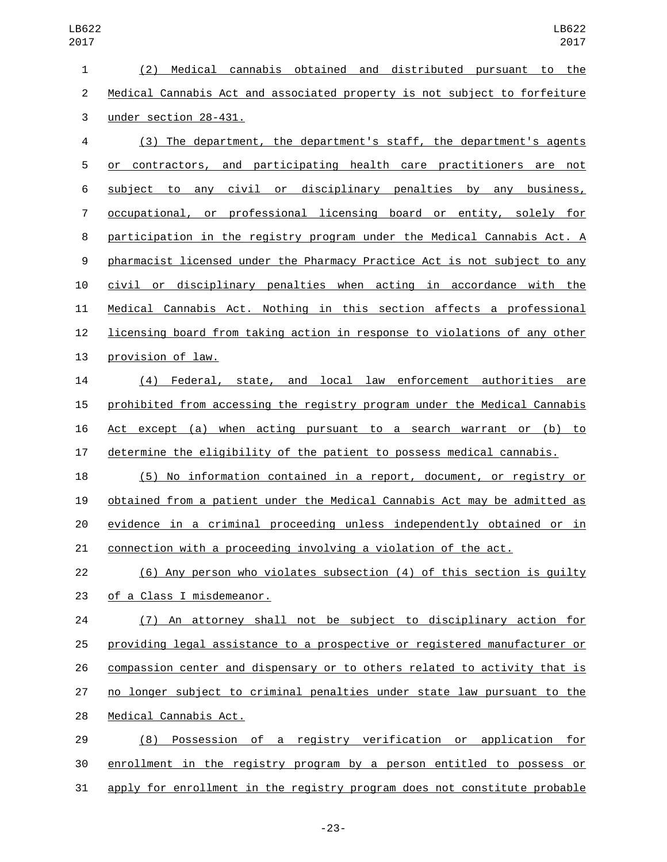(2) Medical cannabis obtained and distributed pursuant to the Medical Cannabis Act and associated property is not subject to forfeiture 3 under section 28-431.

 (3) The department, the department's staff, the department's agents or contractors, and participating health care practitioners are not subject to any civil or disciplinary penalties by any business, occupational, or professional licensing board or entity, solely for participation in the registry program under the Medical Cannabis Act. A pharmacist licensed under the Pharmacy Practice Act is not subject to any civil or disciplinary penalties when acting in accordance with the Medical Cannabis Act. Nothing in this section affects a professional licensing board from taking action in response to violations of any other 13 provision of law.

 (4) Federal, state, and local law enforcement authorities are prohibited from accessing the registry program under the Medical Cannabis Act except (a) when acting pursuant to a search warrant or (b) to determine the eligibility of the patient to possess medical cannabis.

 (5) No information contained in a report, document, or registry or obtained from a patient under the Medical Cannabis Act may be admitted as evidence in a criminal proceeding unless independently obtained or in connection with a proceeding involving a violation of the act.

 (6) Any person who violates subsection (4) of this section is guilty 23 of a Class I misdemeanor.

 (7) An attorney shall not be subject to disciplinary action for providing legal assistance to a prospective or registered manufacturer or compassion center and dispensary or to others related to activity that is no longer subject to criminal penalties under state law pursuant to the 28 Medical Cannabis Act.

 (8) Possession of a registry verification or application for enrollment in the registry program by a person entitled to possess or apply for enrollment in the registry program does not constitute probable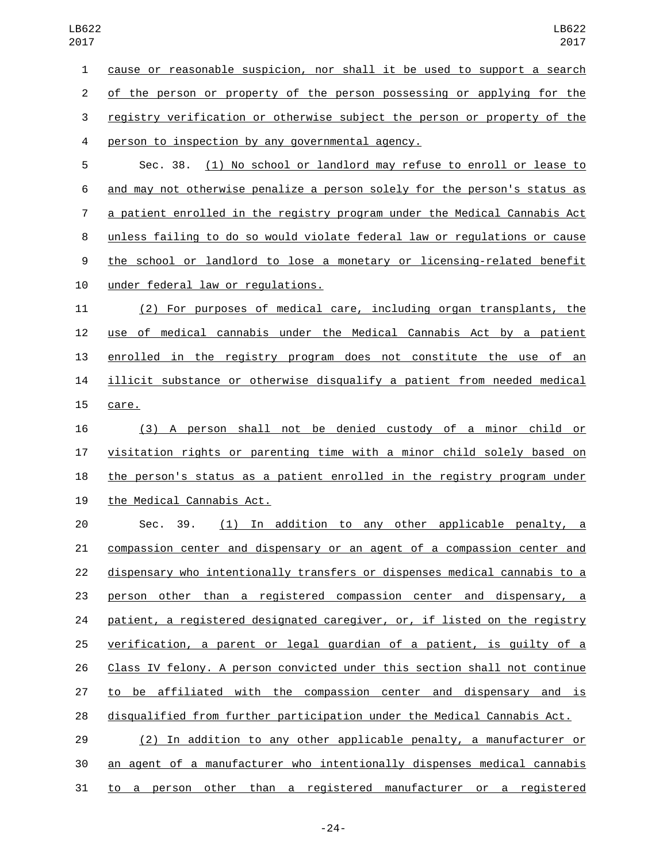cause or reasonable suspicion, nor shall it be used to support a search of the person or property of the person possessing or applying for the registry verification or otherwise subject the person or property of the 4 person to inspection by any governmental agency.

 Sec. 38. (1) No school or landlord may refuse to enroll or lease to and may not otherwise penalize a person solely for the person's status as a patient enrolled in the registry program under the Medical Cannabis Act unless failing to do so would violate federal law or regulations or cause the school or landlord to lose a monetary or licensing-related benefit 10 under federal law or requlations.

 (2) For purposes of medical care, including organ transplants, the use of medical cannabis under the Medical Cannabis Act by a patient enrolled in the registry program does not constitute the use of an illicit substance or otherwise disqualify a patient from needed medical 15 care.

 (3) A person shall not be denied custody of a minor child or visitation rights or parenting time with a minor child solely based on the person's status as a patient enrolled in the registry program under 19 the Medical Cannabis Act.

 Sec. 39. (1) In addition to any other applicable penalty, a compassion center and dispensary or an agent of a compassion center and dispensary who intentionally transfers or dispenses medical cannabis to a person other than a registered compassion center and dispensary, a 24 patient, a registered designated caregiver, or, if listed on the registry verification, a parent or legal guardian of a patient, is guilty of a Class IV felony. A person convicted under this section shall not continue to be affiliated with the compassion center and dispensary and is disqualified from further participation under the Medical Cannabis Act.

 (2) In addition to any other applicable penalty, a manufacturer or an agent of a manufacturer who intentionally dispenses medical cannabis to a person other than a registered manufacturer or a registered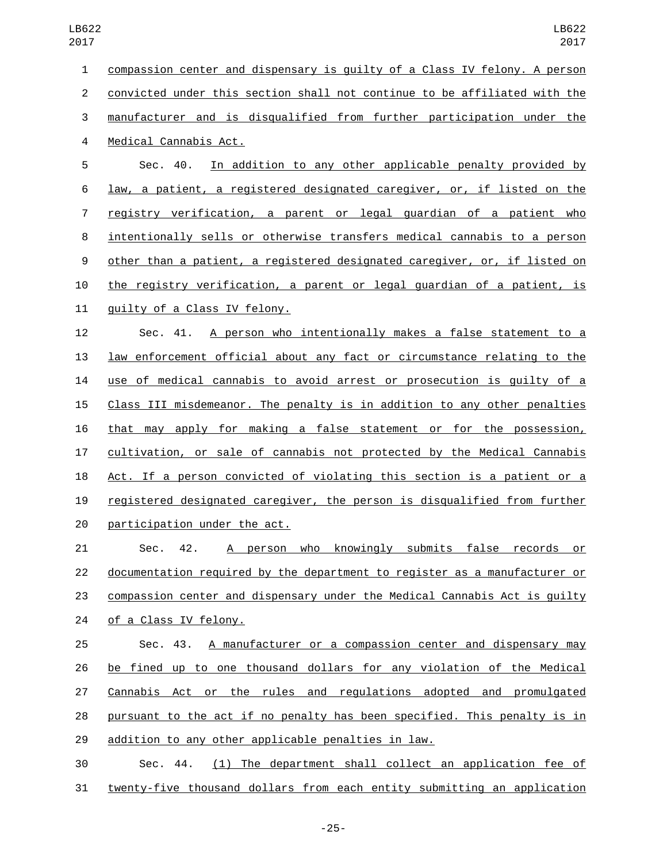compassion center and dispensary is guilty of a Class IV felony. A person convicted under this section shall not continue to be affiliated with the manufacturer and is disqualified from further participation under the 4 Medical Cannabis Act. Sec. 40. In addition to any other applicable penalty provided by law, a patient, a registered designated caregiver, or, if listed on the

 registry verification, a parent or legal guardian of a patient who intentionally sells or otherwise transfers medical cannabis to a person other than a patient, a registered designated caregiver, or, if listed on the registry verification, a parent or legal guardian of a patient, is 11 quilty of a Class IV felony.

 Sec. 41. A person who intentionally makes a false statement to a law enforcement official about any fact or circumstance relating to the use of medical cannabis to avoid arrest or prosecution is guilty of a Class III misdemeanor. The penalty is in addition to any other penalties that may apply for making a false statement or for the possession, cultivation, or sale of cannabis not protected by the Medical Cannabis Act. If a person convicted of violating this section is a patient or a registered designated caregiver, the person is disqualified from further participation under the act.

 Sec. 42. A person who knowingly submits false records or documentation required by the department to register as a manufacturer or 23 compassion center and dispensary under the Medical Cannabis Act is quilty 24 of a Class IV felony.

 Sec. 43. A manufacturer or a compassion center and dispensary may be fined up to one thousand dollars for any violation of the Medical Cannabis Act or the rules and regulations adopted and promulgated pursuant to the act if no penalty has been specified. This penalty is in addition to any other applicable penalties in law.

 Sec. 44. (1) The department shall collect an application fee of twenty-five thousand dollars from each entity submitting an application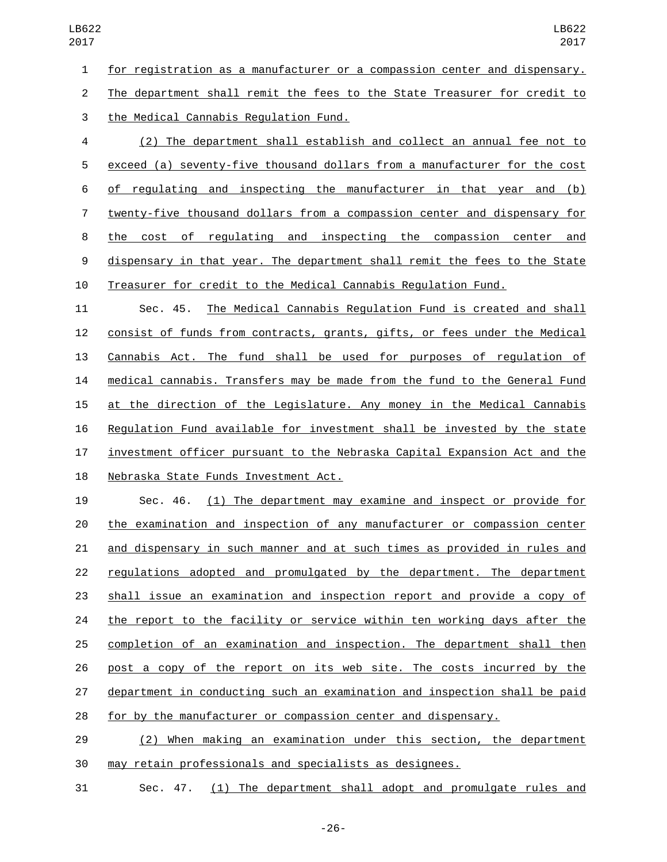for registration as a manufacturer or a compassion center and dispensary. The department shall remit the fees to the State Treasurer for credit to

the Medical Cannabis Regulation Fund.3

 (2) The department shall establish and collect an annual fee not to exceed (a) seventy-five thousand dollars from a manufacturer for the cost of regulating and inspecting the manufacturer in that year and (b) twenty-five thousand dollars from a compassion center and dispensary for the cost of regulating and inspecting the compassion center and dispensary in that year. The department shall remit the fees to the State Treasurer for credit to the Medical Cannabis Regulation Fund.

 Sec. 45. The Medical Cannabis Regulation Fund is created and shall consist of funds from contracts, grants, gifts, or fees under the Medical Cannabis Act. The fund shall be used for purposes of regulation of medical cannabis. Transfers may be made from the fund to the General Fund at the direction of the Legislature. Any money in the Medical Cannabis Regulation Fund available for investment shall be invested by the state investment officer pursuant to the Nebraska Capital Expansion Act and the 18 Nebraska State Funds Investment Act.

 Sec. 46. (1) The department may examine and inspect or provide for the examination and inspection of any manufacturer or compassion center and dispensary in such manner and at such times as provided in rules and regulations adopted and promulgated by the department. The department shall issue an examination and inspection report and provide a copy of 24 the report to the facility or service within ten working days after the completion of an examination and inspection. The department shall then post a copy of the report on its web site. The costs incurred by the department in conducting such an examination and inspection shall be paid for by the manufacturer or compassion center and dispensary.

 (2) When making an examination under this section, the department may retain professionals and specialists as designees.

Sec. 47. (1) The department shall adopt and promulgate rules and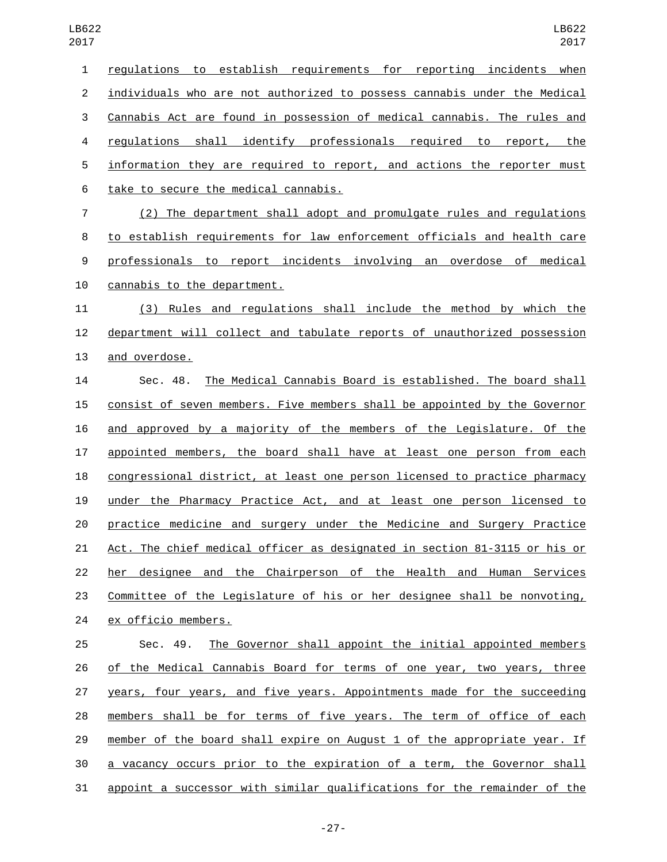| $\mathbf{1}$   | regulations to establish requirements for reporting incidents when        |
|----------------|---------------------------------------------------------------------------|
| $\overline{2}$ | individuals who are not authorized to possess cannabis under the Medical  |
| $\sqrt{3}$     | Cannabis Act are found in possession of medical cannabis. The rules and   |
| 4              | regulations shall identify professionals required to report, the          |
| 5              | information they are required to report, and actions the reporter must    |
| 6              | take to secure the medical cannabis.                                      |
| $\overline{7}$ | (2) The department shall adopt and promulgate rules and regulations       |
| 8              | to establish requirements for law enforcement officials and health care   |
| 9              | professionals to report incidents involving an overdose of medical        |
| 10             | cannabis to the department.                                               |
| 11             | (3) Rules and regulations shall include the method by which the           |
| 12             | department will collect and tabulate reports of unauthorized possession   |
| 13             | and overdose.                                                             |
| 14             | The Medical Cannabis Board is established. The board shall<br>Sec. 48.    |
| 15             | consist of seven members. Five members shall be appointed by the Governor |
| 16             | and approved by a majority of the members of the Legislature. Of the      |
| 17             | appointed members, the board shall have at least one person from each     |
| 18             | congressional district, at least one person licensed to practice pharmacy |
| 19             | under the Pharmacy Practice Act, and at least one person licensed to      |
| 20             | practice medicine and surgery under the Medicine and Surgery Practice     |
| 21             | Act. The chief medical officer as designated in section 81-3115 or his or |
| 22             | designee and the Chairperson of the Health and Human Services<br>her      |
| 23             | Committee of the Legislature of his or her designee shall be nonvoting,   |
| 24             | ex officio members.                                                       |
| 25             | The Governor shall appoint the initial appointed members<br>Sec. 49.      |
| 26             | of the Medical Cannabis Board for terms of one year, two years, three     |
| 27             | years, four years, and five years. Appointments made for the succeeding   |
| 28             | members shall be for terms of five years. The term of office of each      |
| 29             | member of the board shall expire on August 1 of the appropriate year. If  |
| 30             | a vacancy occurs prior to the expiration of a term, the Governor shall    |

appoint a successor with similar qualifications for the remainder of the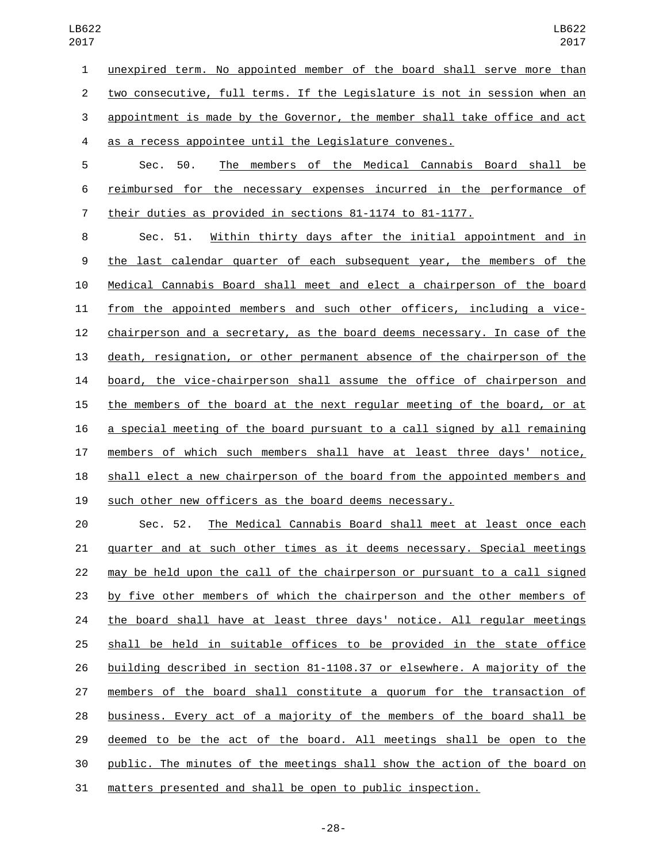unexpired term. No appointed member of the board shall serve more than two consecutive, full terms. If the Legislature is not in session when an appointment is made by the Governor, the member shall take office and act as a recess appointee until the Legislature convenes. Sec. 50. The members of the Medical Cannabis Board shall be

 reimbursed for the necessary expenses incurred in the performance of their duties as provided in sections 81-1174 to 81-1177.

 Sec. 51. Within thirty days after the initial appointment and in the last calendar quarter of each subsequent year, the members of the Medical Cannabis Board shall meet and elect a chairperson of the board from the appointed members and such other officers, including a vice- chairperson and a secretary, as the board deems necessary. In case of the death, resignation, or other permanent absence of the chairperson of the board, the vice-chairperson shall assume the office of chairperson and the members of the board at the next regular meeting of the board, or at a special meeting of the board pursuant to a call signed by all remaining members of which such members shall have at least three days' notice, shall elect a new chairperson of the board from the appointed members and such other new officers as the board deems necessary.

 Sec. 52. The Medical Cannabis Board shall meet at least once each quarter and at such other times as it deems necessary. Special meetings may be held upon the call of the chairperson or pursuant to a call signed by five other members of which the chairperson and the other members of 24 the board shall have at least three days' notice. All regular meetings shall be held in suitable offices to be provided in the state office building described in section 81-1108.37 or elsewhere. A majority of the members of the board shall constitute a quorum for the transaction of business. Every act of a majority of the members of the board shall be deemed to be the act of the board. All meetings shall be open to the public. The minutes of the meetings shall show the action of the board on matters presented and shall be open to public inspection.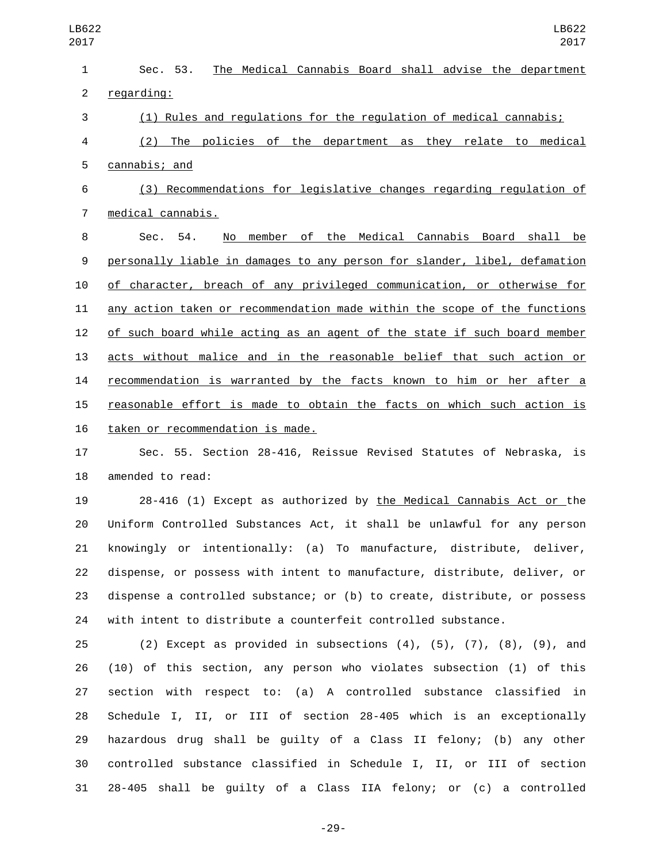| $\mathbf{1}$   | The Medical Cannabis Board shall advise the department<br>Sec. 53.        |
|----------------|---------------------------------------------------------------------------|
| $\overline{2}$ | regarding:                                                                |
| 3              | (1) Rules and regulations for the regulation of medical cannabis;         |
| 4              | (2) The policies of the department as they relate to medical              |
| 5              | cannabis; and                                                             |
| 6              | (3) Recommendations for legislative changes regarding regulation of       |
| 7              | medical cannabis.                                                         |
| 8              | member of the Medical Cannabis Board shall<br>Sec. 54.<br>No<br>be        |
| 9              | personally liable in damages to any person for slander, libel, defamation |
| 10             | of character, breach of any privileged communication, or otherwise for    |
| 11             | any action taken or recommendation made within the scope of the functions |
| 12             | of such board while acting as an agent of the state if such board member  |
| 13             | acts without malice and in the reasonable belief that such action or      |
| 14             | recommendation is warranted by the facts known to him or her after a      |
| 15             | reasonable effort is made to obtain the facts on which such action is     |
| 16             | taken or recommendation is made.                                          |
| 17             | Sec. 55. Section 28-416, Reissue Revised Statutes of Nebraska, is         |
| 18             | amended to read:                                                          |
| 19             | 28-416 (1) Except as authorized by the Medical Cannabis Act or the        |
| 20             | Uniform Controlled Substances Act, it shall be unlawful for any person    |
| 21             | knowingly or intentionally: (a) To manufacture, distribute, deliver,      |
| 22             | dispense, or possess with intent to manufacture, distribute, deliver, or  |
| 23             | dispense a controlled substance; or (b) to create, distribute, or possess |
| 24             | with intent to distribute a counterfeit controlled substance.             |
|                |                                                                           |

 (2) Except as provided in subsections (4), (5), (7), (8), (9), and (10) of this section, any person who violates subsection (1) of this section with respect to: (a) A controlled substance classified in Schedule I, II, or III of section 28-405 which is an exceptionally hazardous drug shall be guilty of a Class II felony; (b) any other controlled substance classified in Schedule I, II, or III of section 28-405 shall be guilty of a Class IIA felony; or (c) a controlled

-29-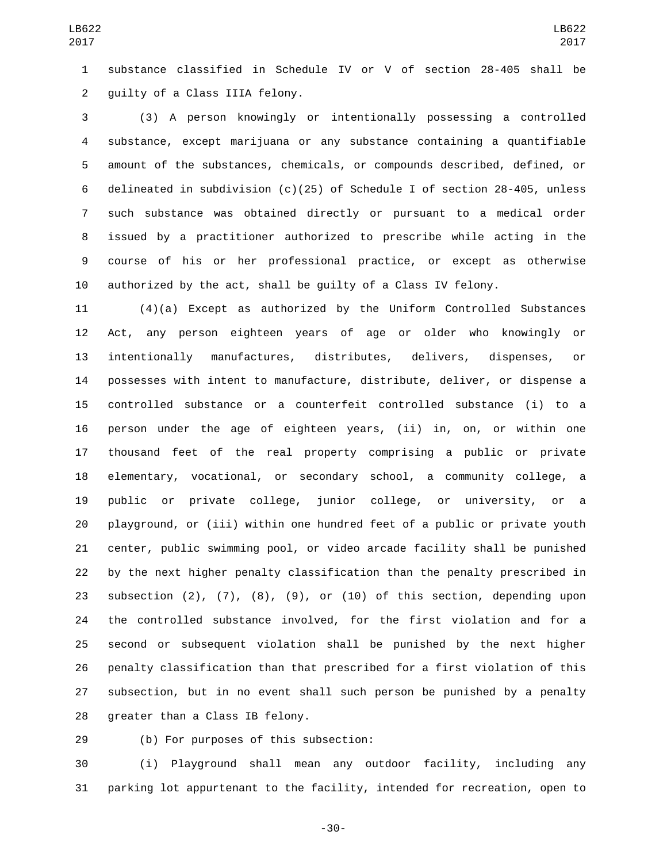substance classified in Schedule IV or V of section 28-405 shall be 2 guilty of a Class IIIA felony.

 (3) A person knowingly or intentionally possessing a controlled substance, except marijuana or any substance containing a quantifiable amount of the substances, chemicals, or compounds described, defined, or delineated in subdivision (c)(25) of Schedule I of section 28-405, unless such substance was obtained directly or pursuant to a medical order issued by a practitioner authorized to prescribe while acting in the course of his or her professional practice, or except as otherwise authorized by the act, shall be guilty of a Class IV felony.

 (4)(a) Except as authorized by the Uniform Controlled Substances Act, any person eighteen years of age or older who knowingly or intentionally manufactures, distributes, delivers, dispenses, or possesses with intent to manufacture, distribute, deliver, or dispense a controlled substance or a counterfeit controlled substance (i) to a person under the age of eighteen years, (ii) in, on, or within one thousand feet of the real property comprising a public or private elementary, vocational, or secondary school, a community college, a public or private college, junior college, or university, or a playground, or (iii) within one hundred feet of a public or private youth center, public swimming pool, or video arcade facility shall be punished by the next higher penalty classification than the penalty prescribed in subsection (2), (7), (8), (9), or (10) of this section, depending upon the controlled substance involved, for the first violation and for a second or subsequent violation shall be punished by the next higher penalty classification than that prescribed for a first violation of this subsection, but in no event shall such person be punished by a penalty 28 greater than a Class IB felony.

(b) For purposes of this subsection:29

 (i) Playground shall mean any outdoor facility, including any parking lot appurtenant to the facility, intended for recreation, open to

-30-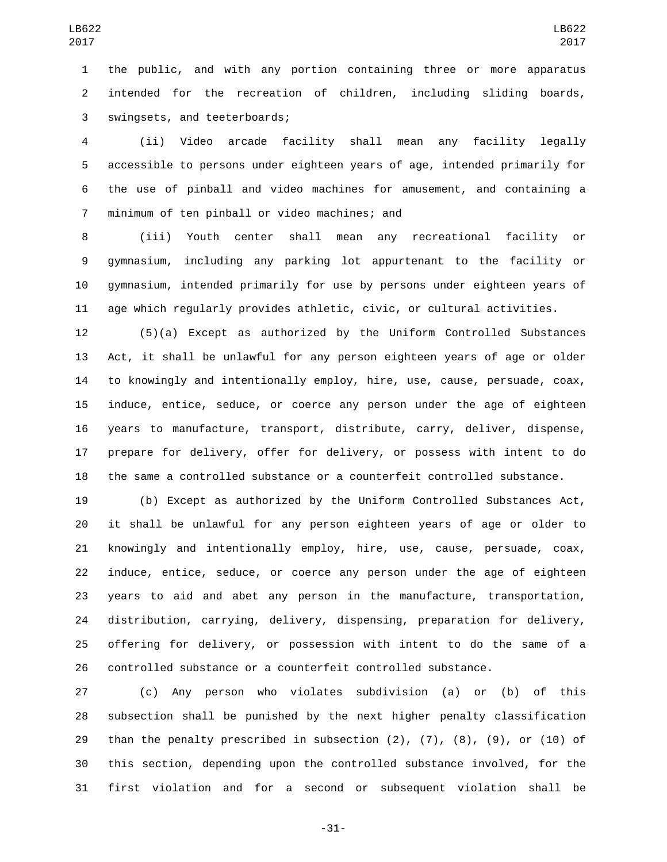the public, and with any portion containing three or more apparatus intended for the recreation of children, including sliding boards, 3 swingsets, and teeterboards;

 (ii) Video arcade facility shall mean any facility legally accessible to persons under eighteen years of age, intended primarily for the use of pinball and video machines for amusement, and containing a 7 minimum of ten pinball or video machines; and

 (iii) Youth center shall mean any recreational facility or gymnasium, including any parking lot appurtenant to the facility or gymnasium, intended primarily for use by persons under eighteen years of age which regularly provides athletic, civic, or cultural activities.

 (5)(a) Except as authorized by the Uniform Controlled Substances Act, it shall be unlawful for any person eighteen years of age or older to knowingly and intentionally employ, hire, use, cause, persuade, coax, induce, entice, seduce, or coerce any person under the age of eighteen years to manufacture, transport, distribute, carry, deliver, dispense, prepare for delivery, offer for delivery, or possess with intent to do the same a controlled substance or a counterfeit controlled substance.

 (b) Except as authorized by the Uniform Controlled Substances Act, it shall be unlawful for any person eighteen years of age or older to knowingly and intentionally employ, hire, use, cause, persuade, coax, induce, entice, seduce, or coerce any person under the age of eighteen years to aid and abet any person in the manufacture, transportation, distribution, carrying, delivery, dispensing, preparation for delivery, offering for delivery, or possession with intent to do the same of a controlled substance or a counterfeit controlled substance.

 (c) Any person who violates subdivision (a) or (b) of this subsection shall be punished by the next higher penalty classification than the penalty prescribed in subsection (2), (7), (8), (9), or (10) of this section, depending upon the controlled substance involved, for the first violation and for a second or subsequent violation shall be

-31-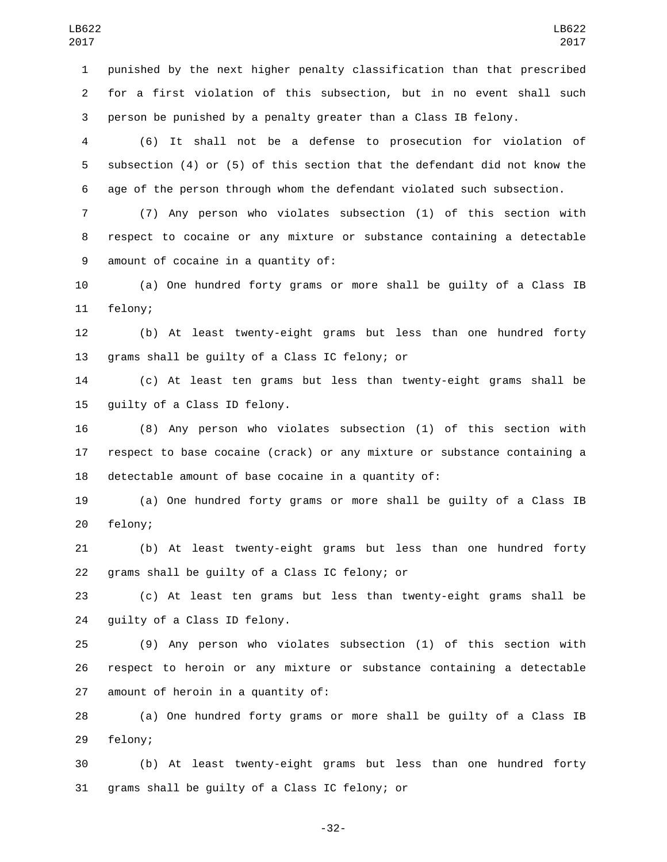punished by the next higher penalty classification than that prescribed for a first violation of this subsection, but in no event shall such person be punished by a penalty greater than a Class IB felony.

 (6) It shall not be a defense to prosecution for violation of subsection (4) or (5) of this section that the defendant did not know the age of the person through whom the defendant violated such subsection.

 (7) Any person who violates subsection (1) of this section with respect to cocaine or any mixture or substance containing a detectable 9 amount of cocaine in a quantity of:

 (a) One hundred forty grams or more shall be guilty of a Class IB 11 felony;

 (b) At least twenty-eight grams but less than one hundred forty 13 grams shall be guilty of a Class IC felony; or

 (c) At least ten grams but less than twenty-eight grams shall be 15 guilty of a Class ID felony.

 (8) Any person who violates subsection (1) of this section with respect to base cocaine (crack) or any mixture or substance containing a detectable amount of base cocaine in a quantity of:

 (a) One hundred forty grams or more shall be guilty of a Class IB 20 felony;

 (b) At least twenty-eight grams but less than one hundred forty 22 grams shall be guilty of a Class IC felony; or

 (c) At least ten grams but less than twenty-eight grams shall be 24 guilty of a Class ID felony.

 (9) Any person who violates subsection (1) of this section with respect to heroin or any mixture or substance containing a detectable amount of heroin in a quantity of:

 (a) One hundred forty grams or more shall be guilty of a Class IB 29 felony;

 (b) At least twenty-eight grams but less than one hundred forty 31 grams shall be quilty of a Class IC felony; or

-32-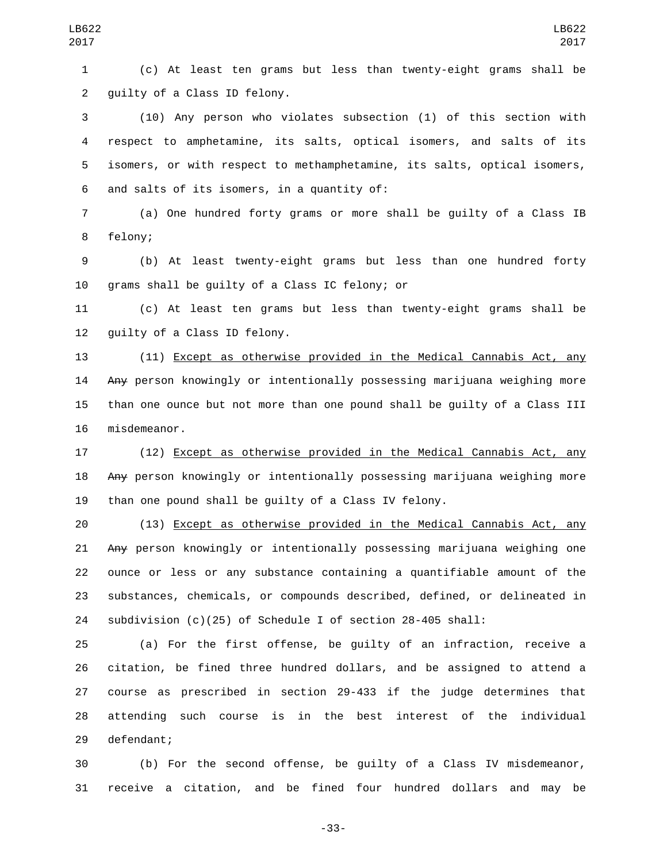(c) At least ten grams but less than twenty-eight grams shall be 2 quilty of a Class ID felony.

 (10) Any person who violates subsection (1) of this section with respect to amphetamine, its salts, optical isomers, and salts of its isomers, or with respect to methamphetamine, its salts, optical isomers, 6 and salts of its isomers, in a quantity of:

 (a) One hundred forty grams or more shall be guilty of a Class IB 8 felony;

 (b) At least twenty-eight grams but less than one hundred forty 10 grams shall be quilty of a Class IC felony; or

 (c) At least ten grams but less than twenty-eight grams shall be 12 guilty of a Class ID felony.

 (11) Except as otherwise provided in the Medical Cannabis Act, any Any person knowingly or intentionally possessing marijuana weighing more than one ounce but not more than one pound shall be guilty of a Class III 16 misdemeanor.

 (12) Except as otherwise provided in the Medical Cannabis Act, any Any person knowingly or intentionally possessing marijuana weighing more than one pound shall be guilty of a Class IV felony.

 (13) Except as otherwise provided in the Medical Cannabis Act, any Any person knowingly or intentionally possessing marijuana weighing one ounce or less or any substance containing a quantifiable amount of the substances, chemicals, or compounds described, defined, or delineated in subdivision (c)(25) of Schedule I of section 28-405 shall:

 (a) For the first offense, be guilty of an infraction, receive a citation, be fined three hundred dollars, and be assigned to attend a course as prescribed in section 29-433 if the judge determines that attending such course is in the best interest of the individual 29 defendant;

 (b) For the second offense, be guilty of a Class IV misdemeanor, receive a citation, and be fined four hundred dollars and may be

-33-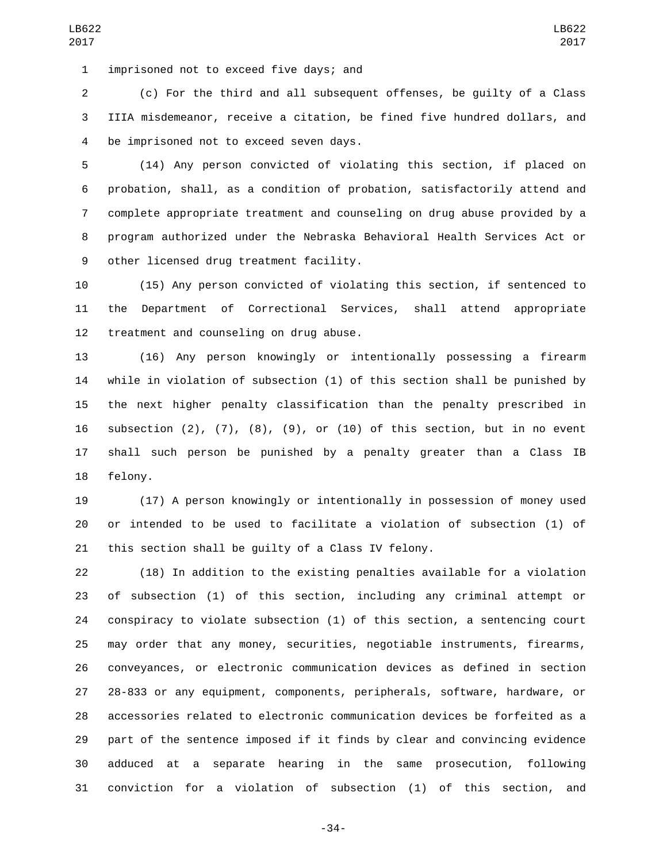imprisoned not to exceed five days; and1

 (c) For the third and all subsequent offenses, be guilty of a Class IIIA misdemeanor, receive a citation, be fined five hundred dollars, and 4 be imprisoned not to exceed seven days.

 (14) Any person convicted of violating this section, if placed on probation, shall, as a condition of probation, satisfactorily attend and complete appropriate treatment and counseling on drug abuse provided by a program authorized under the Nebraska Behavioral Health Services Act or 9 other licensed drug treatment facility.

 (15) Any person convicted of violating this section, if sentenced to the Department of Correctional Services, shall attend appropriate 12 treatment and counseling on drug abuse.

 (16) Any person knowingly or intentionally possessing a firearm while in violation of subsection (1) of this section shall be punished by the next higher penalty classification than the penalty prescribed in 16 subsection  $(2)$ ,  $(7)$ ,  $(8)$ ,  $(9)$ , or  $(10)$  of this section, but in no event shall such person be punished by a penalty greater than a Class IB 18 felony.

 (17) A person knowingly or intentionally in possession of money used or intended to be used to facilitate a violation of subsection (1) of this section shall be guilty of a Class IV felony.

 (18) In addition to the existing penalties available for a violation of subsection (1) of this section, including any criminal attempt or conspiracy to violate subsection (1) of this section, a sentencing court may order that any money, securities, negotiable instruments, firearms, conveyances, or electronic communication devices as defined in section 28-833 or any equipment, components, peripherals, software, hardware, or accessories related to electronic communication devices be forfeited as a part of the sentence imposed if it finds by clear and convincing evidence adduced at a separate hearing in the same prosecution, following conviction for a violation of subsection (1) of this section, and

-34-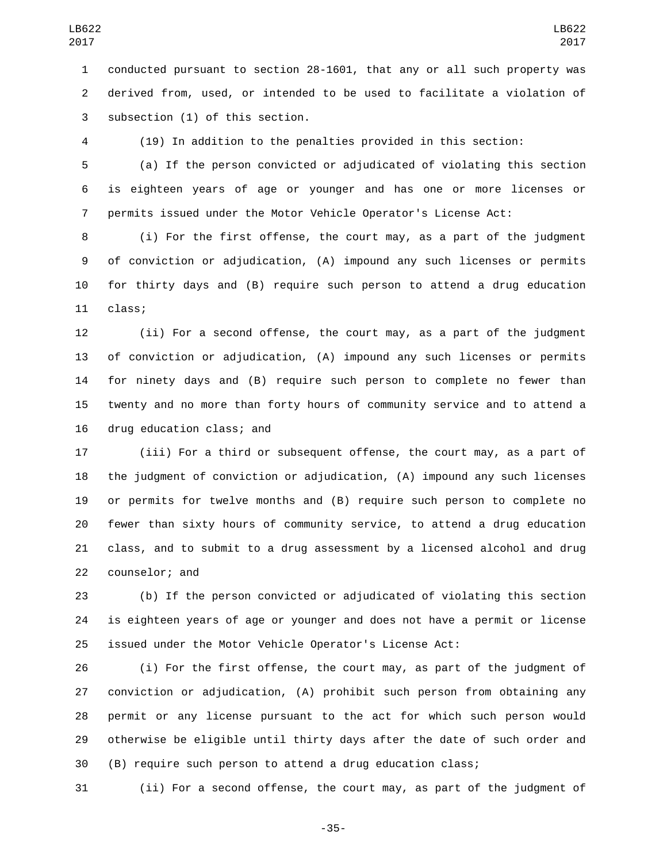conducted pursuant to section 28-1601, that any or all such property was derived from, used, or intended to be used to facilitate a violation of 3 subsection (1) of this section.

(19) In addition to the penalties provided in this section:

 (a) If the person convicted or adjudicated of violating this section is eighteen years of age or younger and has one or more licenses or permits issued under the Motor Vehicle Operator's License Act:

 (i) For the first offense, the court may, as a part of the judgment of conviction or adjudication, (A) impound any such licenses or permits for thirty days and (B) require such person to attend a drug education 11 class;

 (ii) For a second offense, the court may, as a part of the judgment of conviction or adjudication, (A) impound any such licenses or permits for ninety days and (B) require such person to complete no fewer than twenty and no more than forty hours of community service and to attend a 16 drug education class; and

 (iii) For a third or subsequent offense, the court may, as a part of the judgment of conviction or adjudication, (A) impound any such licenses or permits for twelve months and (B) require such person to complete no fewer than sixty hours of community service, to attend a drug education class, and to submit to a drug assessment by a licensed alcohol and drug 22 counselor; and

 (b) If the person convicted or adjudicated of violating this section is eighteen years of age or younger and does not have a permit or license issued under the Motor Vehicle Operator's License Act:

 (i) For the first offense, the court may, as part of the judgment of conviction or adjudication, (A) prohibit such person from obtaining any permit or any license pursuant to the act for which such person would otherwise be eligible until thirty days after the date of such order and (B) require such person to attend a drug education class;

(ii) For a second offense, the court may, as part of the judgment of

-35-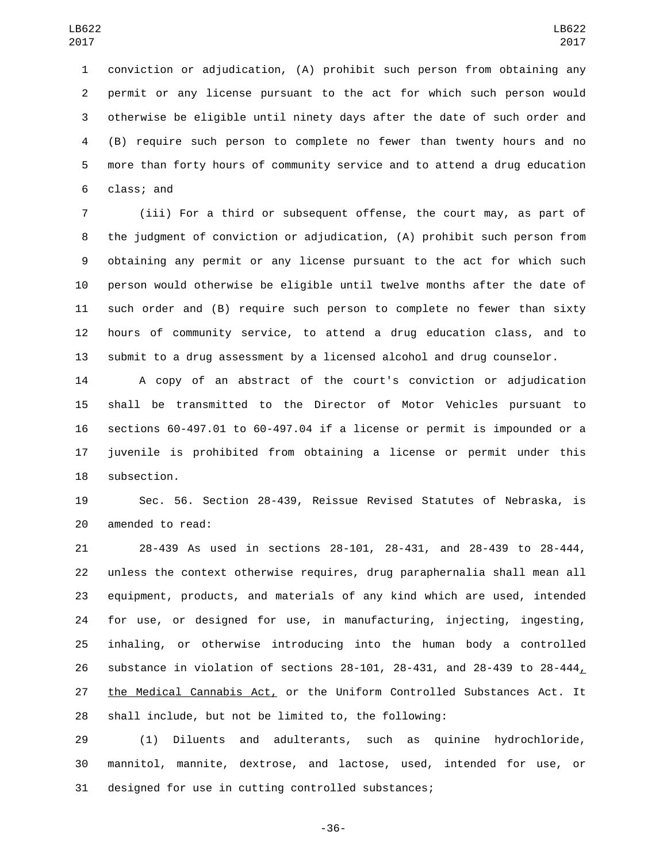conviction or adjudication, (A) prohibit such person from obtaining any permit or any license pursuant to the act for which such person would otherwise be eligible until ninety days after the date of such order and (B) require such person to complete no fewer than twenty hours and no more than forty hours of community service and to attend a drug education 6 class; and

 (iii) For a third or subsequent offense, the court may, as part of the judgment of conviction or adjudication, (A) prohibit such person from obtaining any permit or any license pursuant to the act for which such person would otherwise be eligible until twelve months after the date of such order and (B) require such person to complete no fewer than sixty hours of community service, to attend a drug education class, and to submit to a drug assessment by a licensed alcohol and drug counselor.

 A copy of an abstract of the court's conviction or adjudication shall be transmitted to the Director of Motor Vehicles pursuant to sections 60-497.01 to 60-497.04 if a license or permit is impounded or a juvenile is prohibited from obtaining a license or permit under this 18 subsection.

 Sec. 56. Section 28-439, Reissue Revised Statutes of Nebraska, is 20 amended to read:

 28-439 As used in sections 28-101, 28-431, and 28-439 to 28-444, unless the context otherwise requires, drug paraphernalia shall mean all equipment, products, and materials of any kind which are used, intended for use, or designed for use, in manufacturing, injecting, ingesting, inhaling, or otherwise introducing into the human body a controlled substance in violation of sections 28-101, 28-431, and 28-439 to 28-444, the Medical Cannabis Act, or the Uniform Controlled Substances Act. It shall include, but not be limited to, the following:

 (1) Diluents and adulterants, such as quinine hydrochloride, mannitol, mannite, dextrose, and lactose, used, intended for use, or designed for use in cutting controlled substances;

-36-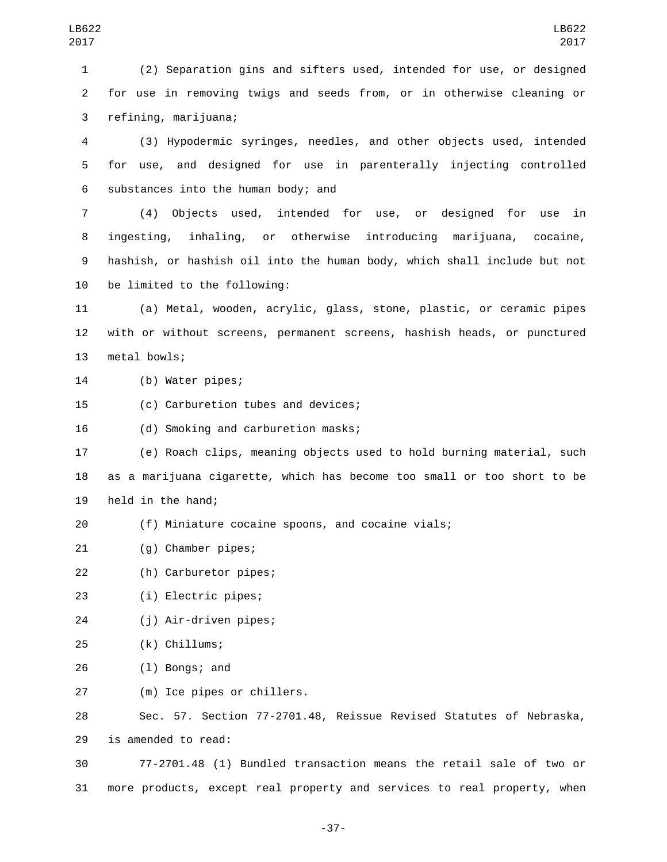1 (2) Separation gins and sifters used, intended for use, or designed 2 for use in removing twigs and seeds from, or in otherwise cleaning or refining, marijuana;3

4 (3) Hypodermic syringes, needles, and other objects used, intended 5 for use, and designed for use in parenterally injecting controlled 6 substances into the human body; and

 (4) Objects used, intended for use, or designed for use in ingesting, inhaling, or otherwise introducing marijuana, cocaine, hashish, or hashish oil into the human body, which shall include but not 10 be limited to the following:

11 (a) Metal, wooden, acrylic, glass, stone, plastic, or ceramic pipes 12 with or without screens, permanent screens, hashish heads, or punctured 13 metal bowls;

14 (b) Water pipes;

15 (c) Carburetion tubes and devices;

16 (d) Smoking and carburetion masks;

17 (e) Roach clips, meaning objects used to hold burning material, such 18 as a marijuana cigarette, which has become too small or too short to be 19 held in the hand;

- 20 (f) Miniature cocaine spoons, and cocaine vials;
- 21 (g) Chamber pipes;

22 (h) Carburetor pipes;

(i) Electric pipes;23

(j) Air-driven pipes;24

- (k) Chillums;25
- 26 (1) Bongs; and

(m) Ice pipes or chillers.27

28 Sec. 57. Section 77-2701.48, Reissue Revised Statutes of Nebraska, 29 is amended to read:

30 77-2701.48 (1) Bundled transaction means the retail sale of two or 31 more products, except real property and services to real property, when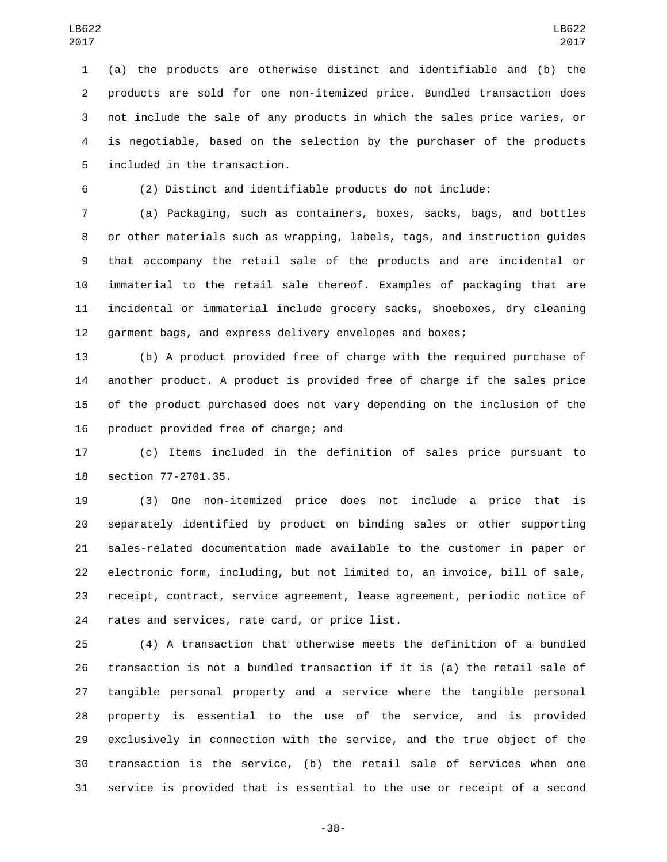(a) the products are otherwise distinct and identifiable and (b) the products are sold for one non-itemized price. Bundled transaction does not include the sale of any products in which the sales price varies, or is negotiable, based on the selection by the purchaser of the products 5 included in the transaction.

(2) Distinct and identifiable products do not include:

 (a) Packaging, such as containers, boxes, sacks, bags, and bottles or other materials such as wrapping, labels, tags, and instruction guides that accompany the retail sale of the products and are incidental or immaterial to the retail sale thereof. Examples of packaging that are incidental or immaterial include grocery sacks, shoeboxes, dry cleaning garment bags, and express delivery envelopes and boxes;

 (b) A product provided free of charge with the required purchase of another product. A product is provided free of charge if the sales price of the product purchased does not vary depending on the inclusion of the 16 product provided free of charge; and

 (c) Items included in the definition of sales price pursuant to 18 section 77-2701.35.

 (3) One non-itemized price does not include a price that is separately identified by product on binding sales or other supporting sales-related documentation made available to the customer in paper or electronic form, including, but not limited to, an invoice, bill of sale, receipt, contract, service agreement, lease agreement, periodic notice of 24 rates and services, rate card, or price list.

 (4) A transaction that otherwise meets the definition of a bundled transaction is not a bundled transaction if it is (a) the retail sale of tangible personal property and a service where the tangible personal property is essential to the use of the service, and is provided exclusively in connection with the service, and the true object of the transaction is the service, (b) the retail sale of services when one service is provided that is essential to the use or receipt of a second

-38-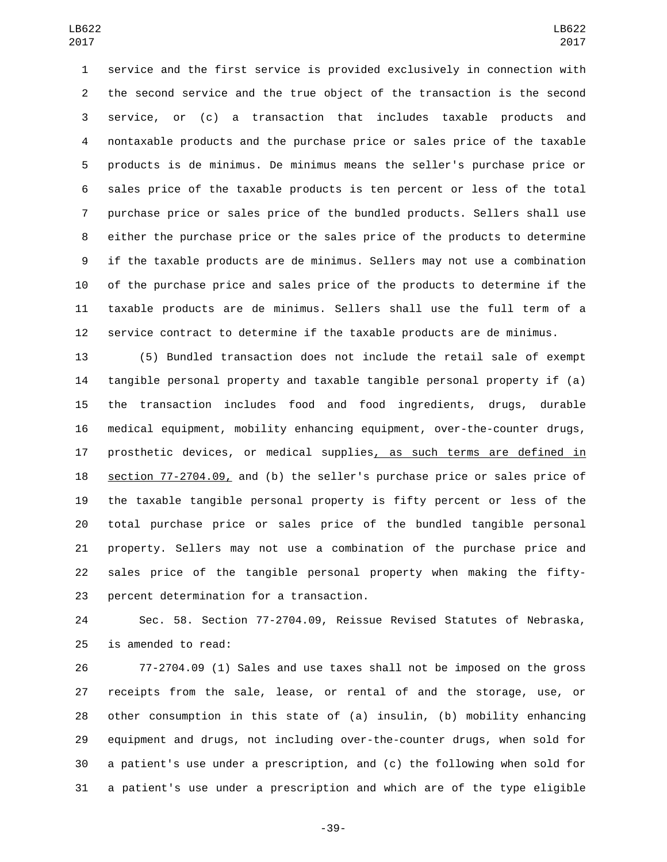service and the first service is provided exclusively in connection with the second service and the true object of the transaction is the second service, or (c) a transaction that includes taxable products and nontaxable products and the purchase price or sales price of the taxable products is de minimus. De minimus means the seller's purchase price or sales price of the taxable products is ten percent or less of the total purchase price or sales price of the bundled products. Sellers shall use either the purchase price or the sales price of the products to determine if the taxable products are de minimus. Sellers may not use a combination of the purchase price and sales price of the products to determine if the taxable products are de minimus. Sellers shall use the full term of a service contract to determine if the taxable products are de minimus.

 (5) Bundled transaction does not include the retail sale of exempt tangible personal property and taxable tangible personal property if (a) the transaction includes food and food ingredients, drugs, durable medical equipment, mobility enhancing equipment, over-the-counter drugs, 17 prosthetic devices, or medical supplies, as such terms are defined in section 77-2704.09, and (b) the seller's purchase price or sales price of the taxable tangible personal property is fifty percent or less of the total purchase price or sales price of the bundled tangible personal property. Sellers may not use a combination of the purchase price and sales price of the tangible personal property when making the fifty-23 percent determination for a transaction.

 Sec. 58. Section 77-2704.09, Reissue Revised Statutes of Nebraska, 25 is amended to read:

 77-2704.09 (1) Sales and use taxes shall not be imposed on the gross receipts from the sale, lease, or rental of and the storage, use, or other consumption in this state of (a) insulin, (b) mobility enhancing equipment and drugs, not including over-the-counter drugs, when sold for a patient's use under a prescription, and (c) the following when sold for a patient's use under a prescription and which are of the type eligible

-39-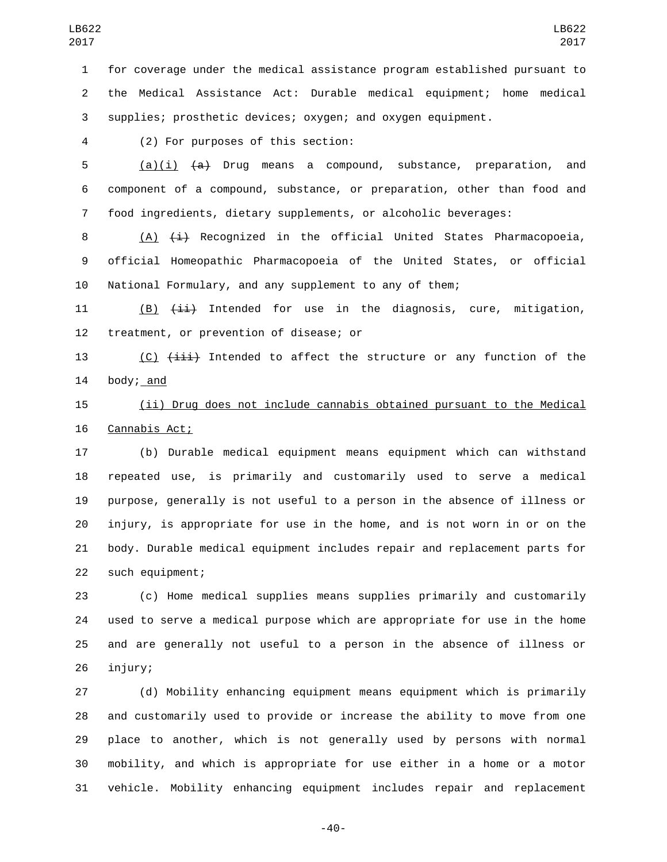for coverage under the medical assistance program established pursuant to the Medical Assistance Act: Durable medical equipment; home medical supplies; prosthetic devices; oxygen; and oxygen equipment.

(2) For purposes of this section:4

5  $(a)(i)$   $(a)$  Drug means a compound, substance, preparation, and component of a compound, substance, or preparation, other than food and food ingredients, dietary supplements, or alcoholic beverages:

8 (A)  $\leftrightarrow$  Recognized in the official United States Pharmacopoeia, official Homeopathic Pharmacopoeia of the United States, or official National Formulary, and any supplement to any of them;

11 (B)  $(i\text{i})$  Intended for use in the diagnosis, cure, mitigation, 12 treatment, or prevention of disease; or

13 (C)  $(iii)$  Intended to affect the structure or any function of the body; and

 (ii) Drug does not include cannabis obtained pursuant to the Medical 16 Cannabis Act;

 (b) Durable medical equipment means equipment which can withstand repeated use, is primarily and customarily used to serve a medical purpose, generally is not useful to a person in the absence of illness or injury, is appropriate for use in the home, and is not worn in or on the body. Durable medical equipment includes repair and replacement parts for 22 such equipment;

 (c) Home medical supplies means supplies primarily and customarily used to serve a medical purpose which are appropriate for use in the home and are generally not useful to a person in the absence of illness or 26 injury;

 (d) Mobility enhancing equipment means equipment which is primarily and customarily used to provide or increase the ability to move from one place to another, which is not generally used by persons with normal mobility, and which is appropriate for use either in a home or a motor vehicle. Mobility enhancing equipment includes repair and replacement

-40-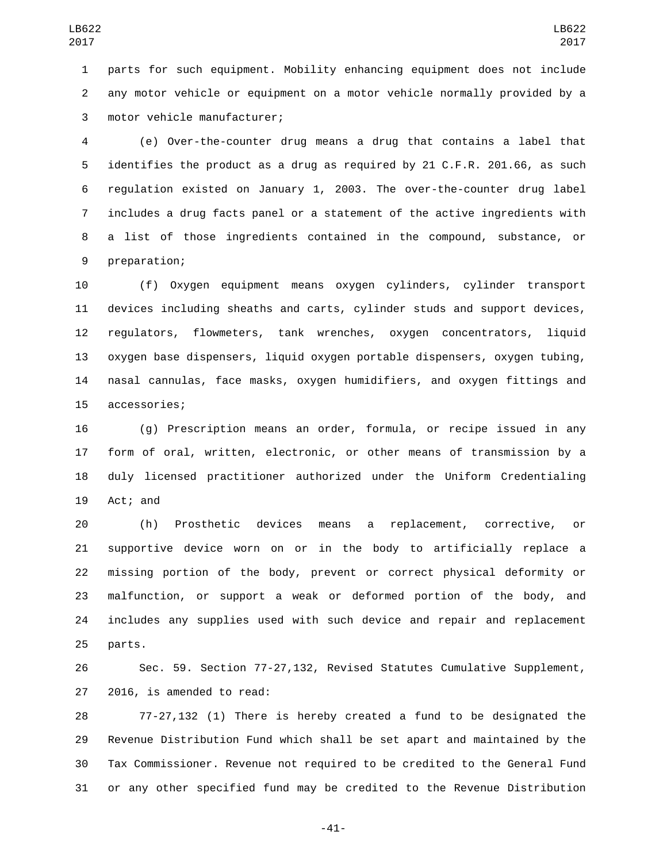parts for such equipment. Mobility enhancing equipment does not include any motor vehicle or equipment on a motor vehicle normally provided by a 3 motor vehicle manufacturer;

 (e) Over-the-counter drug means a drug that contains a label that identifies the product as a drug as required by 21 C.F.R. 201.66, as such regulation existed on January 1, 2003. The over-the-counter drug label includes a drug facts panel or a statement of the active ingredients with a list of those ingredients contained in the compound, substance, or 9 preparation;

 (f) Oxygen equipment means oxygen cylinders, cylinder transport devices including sheaths and carts, cylinder studs and support devices, regulators, flowmeters, tank wrenches, oxygen concentrators, liquid oxygen base dispensers, liquid oxygen portable dispensers, oxygen tubing, nasal cannulas, face masks, oxygen humidifiers, and oxygen fittings and 15 accessories;

 (g) Prescription means an order, formula, or recipe issued in any form of oral, written, electronic, or other means of transmission by a duly licensed practitioner authorized under the Uniform Credentialing 19 Act; and

 (h) Prosthetic devices means a replacement, corrective, or supportive device worn on or in the body to artificially replace a missing portion of the body, prevent or correct physical deformity or malfunction, or support a weak or deformed portion of the body, and includes any supplies used with such device and repair and replacement 25 parts.

 Sec. 59. Section 77-27,132, Revised Statutes Cumulative Supplement, 27 2016, is amended to read:

 77-27,132 (1) There is hereby created a fund to be designated the Revenue Distribution Fund which shall be set apart and maintained by the Tax Commissioner. Revenue not required to be credited to the General Fund or any other specified fund may be credited to the Revenue Distribution

-41-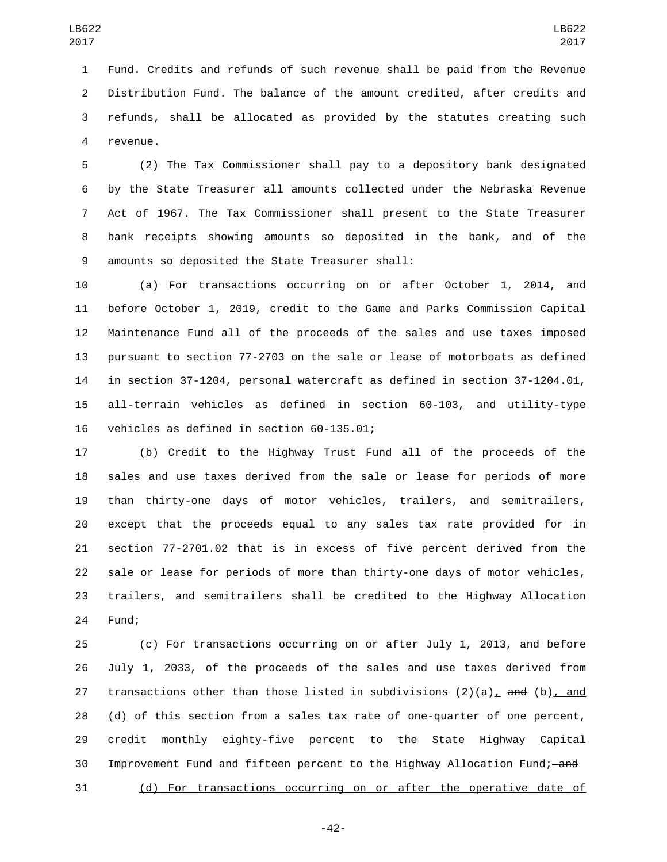Fund. Credits and refunds of such revenue shall be paid from the Revenue Distribution Fund. The balance of the amount credited, after credits and refunds, shall be allocated as provided by the statutes creating such 4 revenue.

 (2) The Tax Commissioner shall pay to a depository bank designated by the State Treasurer all amounts collected under the Nebraska Revenue Act of 1967. The Tax Commissioner shall present to the State Treasurer bank receipts showing amounts so deposited in the bank, and of the 9 amounts so deposited the State Treasurer shall:

 (a) For transactions occurring on or after October 1, 2014, and before October 1, 2019, credit to the Game and Parks Commission Capital Maintenance Fund all of the proceeds of the sales and use taxes imposed pursuant to section 77-2703 on the sale or lease of motorboats as defined in section 37-1204, personal watercraft as defined in section 37-1204.01, all-terrain vehicles as defined in section 60-103, and utility-type 16 vehicles as defined in section 60-135.01;

 (b) Credit to the Highway Trust Fund all of the proceeds of the sales and use taxes derived from the sale or lease for periods of more than thirty-one days of motor vehicles, trailers, and semitrailers, except that the proceeds equal to any sales tax rate provided for in section 77-2701.02 that is in excess of five percent derived from the sale or lease for periods of more than thirty-one days of motor vehicles, trailers, and semitrailers shall be credited to the Highway Allocation 24 Fund;

 (c) For transactions occurring on or after July 1, 2013, and before July 1, 2033, of the proceeds of the sales and use taxes derived from 27 transactions other than those listed in subdivisions  $(2)(a)$ , and  $(b)$ , and (d) of this section from a sales tax rate of one-quarter of one percent, credit monthly eighty-five percent to the State Highway Capital 30 Improvement Fund and fifteen percent to the Highway Allocation Fund; and (d) For transactions occurring on or after the operative date of

-42-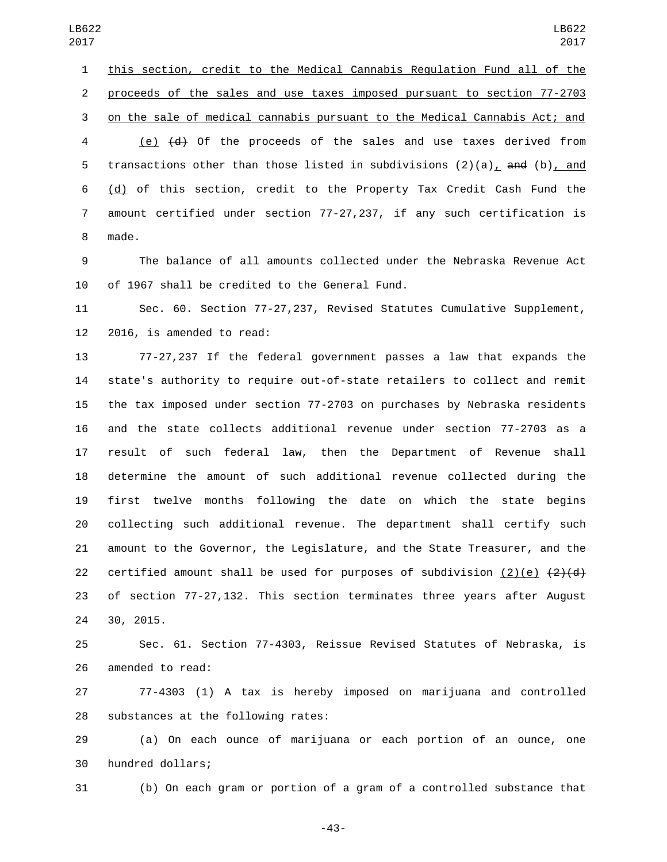this section, credit to the Medical Cannabis Regulation Fund all of the proceeds of the sales and use taxes imposed pursuant to section 77-2703 on the sale of medical cannabis pursuant to the Medical Cannabis Act; and (e) (d) Of the proceeds of the sales and use taxes derived from 5 transactions other than those listed in subdivisions  $(2)(a)$ , and  $(b)$ , and (d) of this section, credit to the Property Tax Credit Cash Fund the amount certified under section 77-27,237, if any such certification is 8 made.

 The balance of all amounts collected under the Nebraska Revenue Act of 1967 shall be credited to the General Fund.

 Sec. 60. Section 77-27,237, Revised Statutes Cumulative Supplement, 2016, is amended to read:

 77-27,237 If the federal government passes a law that expands the state's authority to require out-of-state retailers to collect and remit the tax imposed under section 77-2703 on purchases by Nebraska residents and the state collects additional revenue under section 77-2703 as a result of such federal law, then the Department of Revenue shall determine the amount of such additional revenue collected during the first twelve months following the date on which the state begins collecting such additional revenue. The department shall certify such amount to the Governor, the Legislature, and the State Treasurer, and the 22 certified amount shall be used for purposes of subdivision  $(2)(e)$   $(2)(d)$  of section 77-27,132. This section terminates three years after August 24 30, 2015.

 Sec. 61. Section 77-4303, Reissue Revised Statutes of Nebraska, is 26 amended to read:

 77-4303 (1) A tax is hereby imposed on marijuana and controlled 28 substances at the following rates:

 (a) On each ounce of marijuana or each portion of an ounce, one 30 hundred dollars;

(b) On each gram or portion of a gram of a controlled substance that

-43-